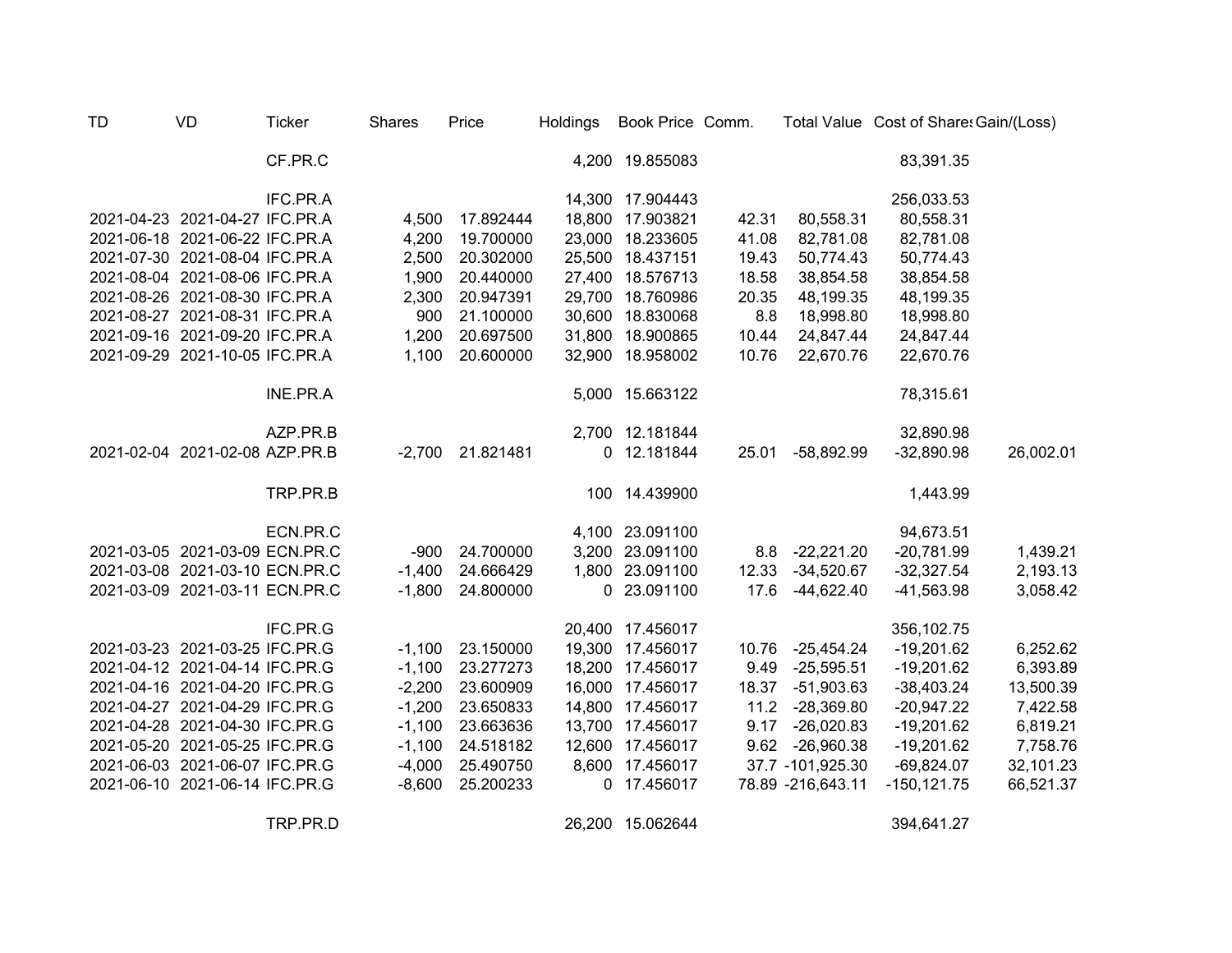| <b>TD</b> | <b>VD</b>                      | <b>Ticker</b> | <b>Shares</b> | Price            | Holdings | Book Price Comm. |       |                   | Total Value Cost of Share: Gain/(Loss) |           |
|-----------|--------------------------------|---------------|---------------|------------------|----------|------------------|-------|-------------------|----------------------------------------|-----------|
|           |                                | CF.PR.C       |               |                  |          | 4,200 19.855083  |       |                   | 83,391.35                              |           |
|           |                                | IFC.PR.A      |               |                  |          | 14,300 17.904443 |       |                   | 256,033.53                             |           |
|           | 2021-04-23 2021-04-27 IFC.PR.A |               | 4,500         | 17.892444        |          | 18,800 17.903821 | 42.31 | 80,558.31         | 80,558.31                              |           |
|           | 2021-06-18 2021-06-22 IFC.PR.A |               | 4,200         | 19.700000        |          | 23,000 18.233605 | 41.08 | 82,781.08         | 82,781.08                              |           |
|           | 2021-07-30 2021-08-04 IFC.PR.A |               | 2,500         | 20.302000        |          | 25,500 18.437151 | 19.43 | 50,774.43         | 50,774.43                              |           |
|           | 2021-08-04 2021-08-06 IFC.PR.A |               | 1,900         | 20.440000        |          | 27,400 18.576713 | 18.58 | 38,854.58         | 38,854.58                              |           |
|           | 2021-08-26 2021-08-30 IFC.PR.A |               | 2,300         | 20.947391        | 29,700   | 18.760986        | 20.35 | 48,199.35         | 48,199.35                              |           |
|           | 2021-08-27 2021-08-31 IFC.PR.A |               | 900           | 21.100000        | 30,600   | 18.830068        | 8.8   | 18,998.80         | 18,998.80                              |           |
|           | 2021-09-16 2021-09-20 IFC.PR.A |               | 1,200         | 20.697500        | 31,800   | 18.900865        | 10.44 | 24,847.44         | 24,847.44                              |           |
|           | 2021-09-29 2021-10-05 IFC.PR.A |               | 1,100         | 20.600000        |          | 32,900 18.958002 | 10.76 | 22,670.76         | 22,670.76                              |           |
|           |                                | INE.PR.A      |               |                  |          | 5,000 15.663122  |       |                   | 78,315.61                              |           |
|           |                                | AZP.PR.B      |               |                  |          | 2,700 12.181844  |       |                   | 32,890.98                              |           |
|           | 2021-02-04 2021-02-08 AZP.PR.B |               |               | -2,700 21.821481 |          | 0 12.181844      | 25.01 | $-58,892.99$      | $-32,890.98$                           | 26,002.01 |
|           |                                | TRP.PR.B      |               |                  |          | 100 14.439900    |       |                   | 1,443.99                               |           |
|           |                                | ECN.PR.C      |               |                  |          | 4,100 23.091100  |       |                   | 94,673.51                              |           |
|           | 2021-03-05 2021-03-09 ECN.PR.C |               | $-900$        | 24.700000        |          | 3,200 23.091100  |       | 8.8 -22,221.20    | $-20,781.99$                           | 1,439.21  |
|           | 2021-03-08 2021-03-10 ECN.PR.C |               | $-1,400$      | 24.666429        |          | 1,800 23.091100  | 12.33 | $-34,520.67$      | $-32,327.54$                           | 2,193.13  |
|           | 2021-03-09 2021-03-11 ECN.PR.C |               | $-1,800$      | 24.800000        |          | 0 23.091100      | 17.6  | $-44,622.40$      | $-41,563.98$                           | 3,058.42  |
|           |                                | IFC.PR.G      |               |                  |          | 20,400 17.456017 |       |                   | 356,102.75                             |           |
|           | 2021-03-23 2021-03-25 IFC.PR.G |               | $-1,100$      | 23.150000        |          | 19,300 17.456017 |       | 10.76 -25,454.24  | $-19,201.62$                           | 6,252.62  |
|           | 2021-04-12 2021-04-14 IFC.PR.G |               | $-1,100$      | 23.277273        |          | 18,200 17.456017 | 9.49  | $-25,595.51$      | $-19,201.62$                           | 6,393.89  |
|           | 2021-04-16 2021-04-20 IFC.PR.G |               | $-2,200$      | 23.600909        |          | 16,000 17.456017 |       | 18.37 -51,903.63  | $-38,403.24$                           | 13,500.39 |
|           | 2021-04-27 2021-04-29 IFC.PR.G |               | $-1,200$      | 23.650833        |          | 14,800 17.456017 |       | 11.2 -28,369.80   | $-20,947.22$                           | 7,422.58  |
|           | 2021-04-28 2021-04-30 IFC.PR.G |               | $-1,100$      | 23.663636        |          | 13,700 17.456017 | 9.17  | $-26,020.83$      | $-19,201.62$                           | 6,819.21  |
|           | 2021-05-20 2021-05-25 IFC.PR.G |               | $-1,100$      | 24.518182        |          | 12,600 17.456017 |       | 9.62 -26,960.38   | $-19,201.62$                           | 7,758.76  |
|           | 2021-06-03 2021-06-07 IFC.PR.G |               | $-4,000$      | 25.490750        |          | 8,600 17.456017  |       | 37.7 -101,925.30  | $-69,824.07$                           | 32,101.23 |
|           | 2021-06-10 2021-06-14 IFC.PR.G |               | $-8,600$      | 25.200233        |          | 0 17.456017      |       | 78.89 -216,643.11 | $-150, 121.75$                         | 66,521.37 |
|           |                                | TRP.PR.D      |               |                  |          | 26,200 15.062644 |       |                   | 394,641.27                             |           |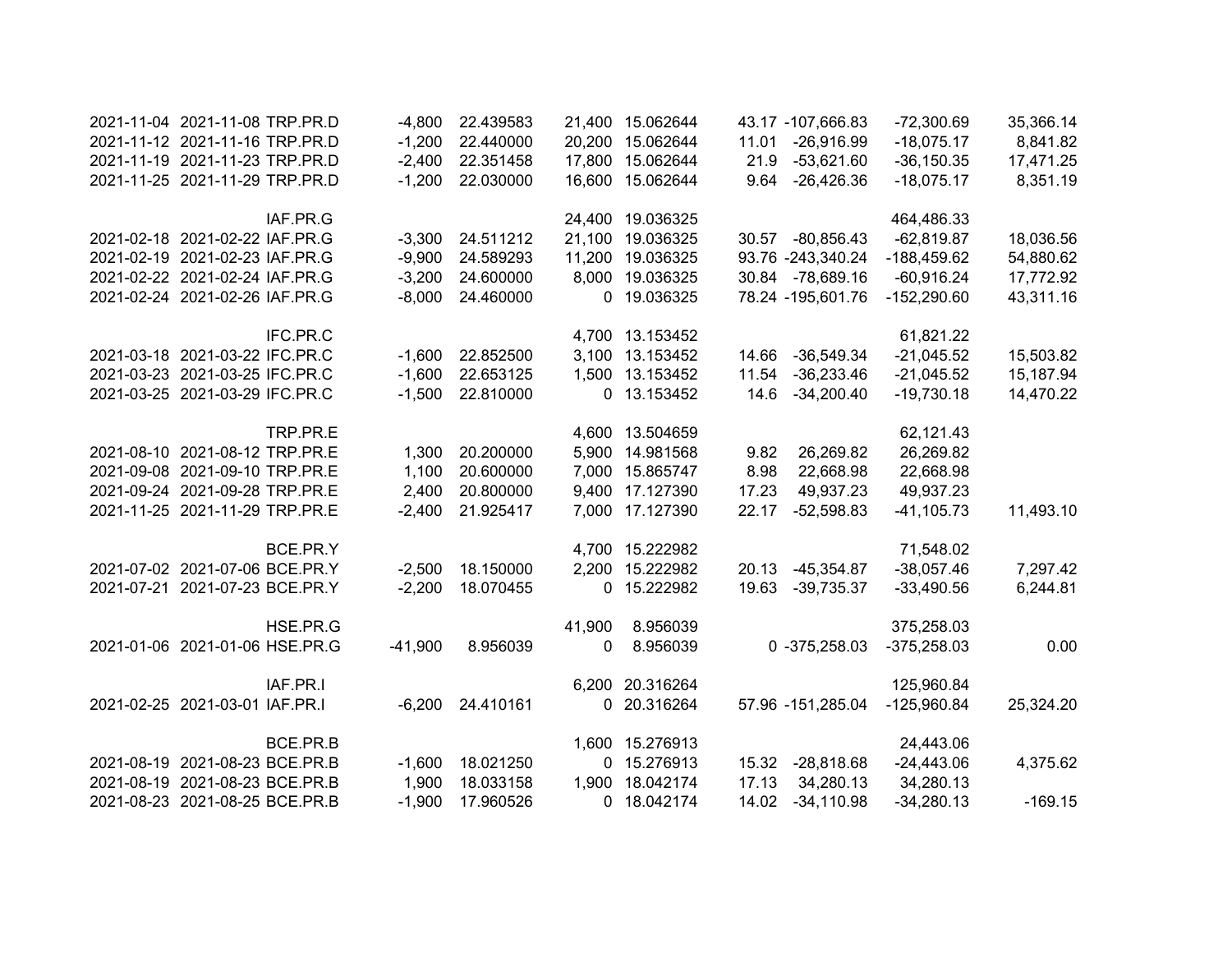| 2021-11-04 2021-11-08 TRP.PR.D |          | $-4,800$  | 22.439583          |        | 21,400 15.062644 |       | 43.17 -107,666.83 | $-72,300.69$  | 35,366.14 |
|--------------------------------|----------|-----------|--------------------|--------|------------------|-------|-------------------|---------------|-----------|
| 2021-11-12 2021-11-16 TRP.PR.D |          | $-1,200$  | 22.440000          |        | 20,200 15.062644 | 11.01 | $-26,916.99$      | $-18,075.17$  | 8,841.82  |
| 2021-11-19 2021-11-23 TRP.PR.D |          | $-2,400$  | 22.351458          |        | 17,800 15.062644 |       | 21.9 -53,621.60   | $-36,150.35$  | 17,471.25 |
| 2021-11-25 2021-11-29 TRP.PR.D |          |           | 22.030000          |        | 16,600 15.062644 |       | 9.64 - 26,426.36  |               |           |
|                                |          | $-1,200$  |                    |        |                  |       |                   | $-18,075.17$  | 8,351.19  |
|                                | IAF.PR.G |           |                    |        | 24,400 19.036325 |       |                   | 464,486.33    |           |
| 2021-02-18 2021-02-22 IAF.PR.G |          | $-3,300$  | 24.511212          |        | 21,100 19.036325 |       | 30.57 -80,856.43  | $-62,819.87$  | 18,036.56 |
| 2021-02-19 2021-02-23 IAF.PR.G |          | $-9,900$  | 24.589293          |        | 11,200 19.036325 |       | 93.76 -243,340.24 | -188,459.62   | 54,880.62 |
| 2021-02-22 2021-02-24 IAF.PR.G |          | $-3,200$  | 24.600000          |        | 8,000 19.036325  |       | 30.84 -78,689.16  | $-60,916.24$  | 17,772.92 |
| 2021-02-24 2021-02-26 IAF.PR.G |          | $-8,000$  | 24.460000          |        | 0 19.036325      |       | 78.24 -195,601.76 | $-152,290.60$ | 43,311.16 |
|                                | IFC.PR.C |           |                    |        | 4,700 13.153452  |       |                   | 61,821.22     |           |
| 2021-03-18 2021-03-22 IFC.PR.C |          | $-1,600$  | 22.852500          |        | 3,100 13.153452  |       | 14.66 -36,549.34  | $-21,045.52$  | 15,503.82 |
| 2021-03-23 2021-03-25 IFC.PR.C |          | $-1,600$  | 22.653125          |        | 1,500 13.153452  | 11.54 | $-36,233.46$      | $-21,045.52$  | 15,187.94 |
| 2021-03-25 2021-03-29 IFC.PR.C |          | $-1,500$  | 22.810000          |        | 0 13.153452      | 14.6  | $-34,200.40$      | $-19,730.18$  | 14,470.22 |
|                                | TRP.PR.E |           |                    |        | 4,600 13.504659  |       |                   | 62,121.43     |           |
| 2021-08-10 2021-08-12 TRP.PR.E |          | 1,300     | 20.200000          |        | 5,900 14.981568  | 9.82  | 26,269.82         | 26,269.82     |           |
| 2021-09-08 2021-09-10 TRP.PR.E |          | 1,100     | 20.600000          |        | 7,000 15.865747  | 8.98  | 22,668.98         | 22,668.98     |           |
| 2021-09-24 2021-09-28 TRP.PR.E |          | 2,400     | 20.800000          |        | 9,400 17.127390  | 17.23 | 49,937.23         | 49,937.23     |           |
| 2021-11-25 2021-11-29 TRP.PR.E |          | $-2,400$  | 21.925417          |        | 7,000 17.127390  | 22.17 | $-52,598.83$      | $-41,105.73$  | 11,493.10 |
|                                | BCE.PR.Y |           |                    |        | 4,700 15.222982  |       |                   | 71,548.02     |           |
| 2021-07-02 2021-07-06 BCE.PR.Y |          | $-2,500$  | 18.150000          |        | 2,200 15.222982  | 20.13 | $-45,354.87$      | $-38,057.46$  | 7,297.42  |
| 2021-07-21 2021-07-23 BCE.PR.Y |          | $-2,200$  | 18.070455          |        | 0 15.222982      | 19.63 | $-39,735.37$      | $-33,490.56$  | 6,244.81  |
|                                | HSE.PR.G |           |                    | 41,900 | 8.956039         |       |                   | 375,258.03    |           |
| 2021-01-06 2021-01-06 HSE.PR.G |          | $-41,900$ | 8.956039           | 0      | 8.956039         |       | $0 -375,258.03$   | $-375,258.03$ | 0.00      |
|                                | IAF.PR.I |           |                    |        | 6,200 20.316264  |       |                   | 125,960.84    |           |
| 2021-02-25 2021-03-01 IAF.PR.I |          |           | $-6,200$ 24.410161 |        | 0 20.316264      |       | 57.96 -151,285.04 | $-125,960.84$ | 25,324.20 |
|                                |          |           |                    |        |                  |       |                   |               |           |
|                                | BCE.PR.B |           |                    |        | 1,600 15.276913  |       |                   | 24,443.06     |           |
| 2021-08-19 2021-08-23 BCE.PR.B |          | $-1,600$  | 18.021250          |        | 0 15.276913      |       | 15.32 -28,818.68  | $-24,443.06$  | 4,375.62  |
| 2021-08-19 2021-08-23 BCE.PR.B |          | 1,900     | 18.033158          |        | 1,900 18.042174  | 17.13 | 34,280.13         | 34,280.13     |           |
| 2021-08-23 2021-08-25 BCE.PR.B |          | $-1,900$  | 17.960526          |        | 0 18.042174      | 14.02 | $-34,110.98$      | $-34,280.13$  | $-169.15$ |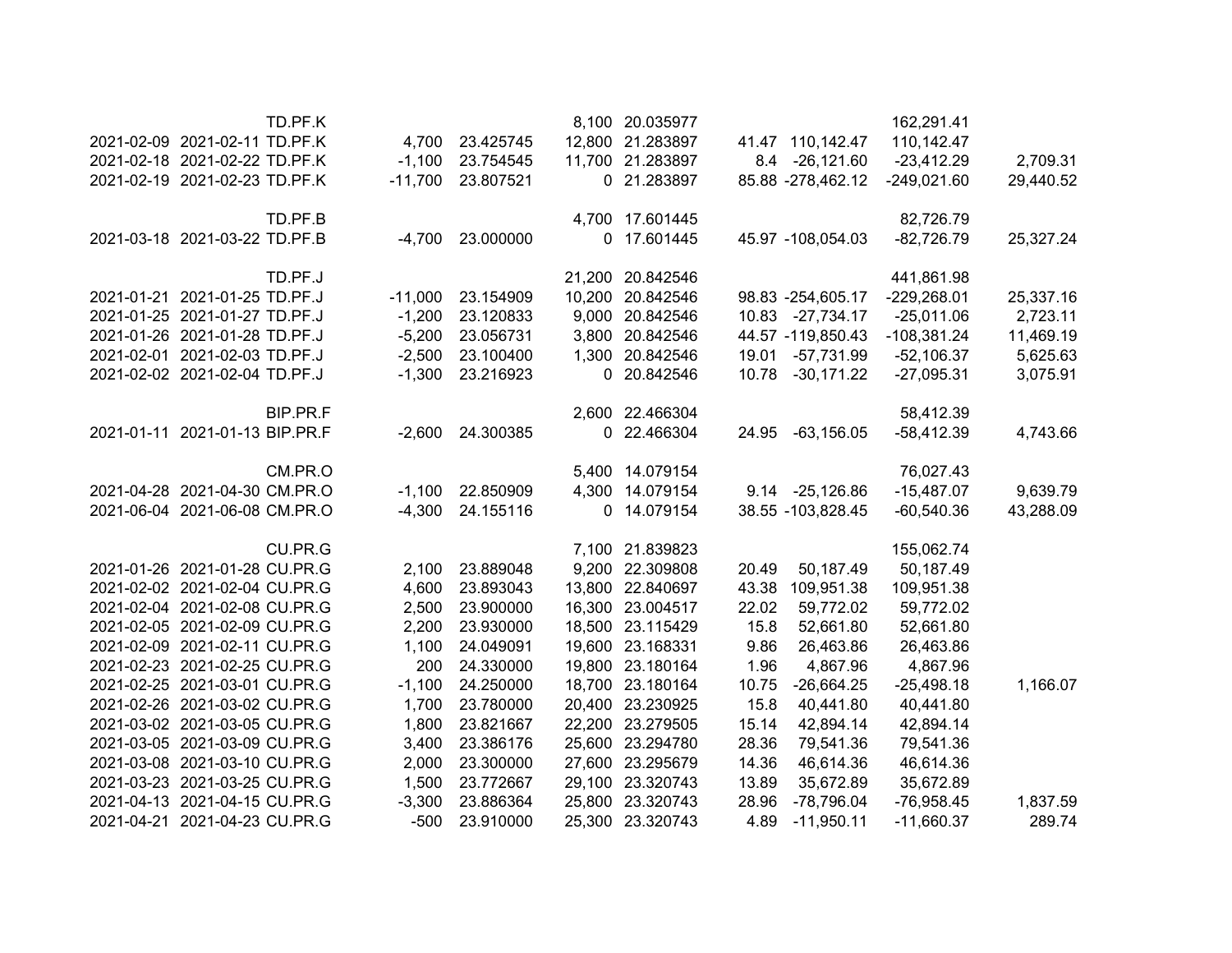|           | 162,291.41    |                   |       | 8,100 20.035977  |                  |           | TD.PF.K  |                                |  |
|-----------|---------------|-------------------|-------|------------------|------------------|-----------|----------|--------------------------------|--|
|           | 110,142.47    | 41.47 110,142.47  |       | 12,800 21.283897 | 4,700 23.425745  |           |          | 2021-02-09 2021-02-11 TD.PF.K  |  |
| 2,709.31  | $-23,412.29$  | 8.4 -26,121.60    |       | 11,700 21.283897 | 23.754545        | $-1,100$  |          | 2021-02-18 2021-02-22 TD.PF.K  |  |
| 29,440.52 | $-249,021.60$ | 85.88 -278,462.12 |       | 0 21.283897      | 23.807521        | $-11,700$ |          | 2021-02-19 2021-02-23 TD.PF.K  |  |
|           | 82,726.79     |                   |       | 4,700 17.601445  |                  |           | TD.PF.B  |                                |  |
| 25,327.24 | $-82,726.79$  | 45.97 -108,054.03 |       | 0 17.601445      | -4,700 23.000000 |           |          | 2021-03-18 2021-03-22 TD.PF.B  |  |
|           | 441,861.98    |                   |       | 21,200 20.842546 |                  |           | TD.PF.J  |                                |  |
| 25,337.16 | $-229,268.01$ | 98.83 -254,605.17 |       | 10,200 20.842546 | 23.154909        | $-11,000$ |          | 2021-01-21 2021-01-25 TD.PF.J  |  |
| 2,723.11  | $-25,011.06$  | 10.83 -27,734.17  |       | 9,000 20.842546  | 23.120833        | $-1,200$  |          | 2021-01-25 2021-01-27 TD.PF.J  |  |
| 11,469.19 | $-108,381.24$ | 44.57 -119,850.43 |       | 3,800 20.842546  | 23.056731        | $-5,200$  |          | 2021-01-26 2021-01-28 TD.PF.J  |  |
| 5,625.63  | $-52,106.37$  | -57,731.99        | 19.01 | 1,300 20.842546  | 23.100400        | $-2,500$  |          | 2021-02-01 2021-02-03 TD.PF.J  |  |
| 3,075.91  | $-27,095.31$  | 10.78 -30,171.22  |       | 0 20.842546      | 23.216923        | $-1,300$  |          | 2021-02-02 2021-02-04 TD.PF.J  |  |
|           | 58,412.39     |                   |       | 2,600 22.466304  |                  |           | BIP.PR.F |                                |  |
| 4,743.66  | $-58,412.39$  | $-63,156.05$      | 24.95 | 0 22.466304      | 24.300385        | $-2,600$  |          | 2021-01-11 2021-01-13 BIP.PR.F |  |
|           | 76,027.43     |                   |       | 5,400 14.079154  |                  |           | CM.PR.O  |                                |  |
| 9,639.79  | $-15,487.07$  | 9.14 -25,126.86   |       | 4,300 14.079154  | 22.850909        | $-1,100$  |          | 2021-04-28 2021-04-30 CM.PR.O  |  |
| 43,288.09 | $-60,540.36$  | 38.55 -103,828.45 |       | 0 14.079154      | 24.155116        | $-4,300$  |          | 2021-06-04 2021-06-08 CM.PR.O  |  |
|           | 155,062.74    |                   |       | 7,100 21.839823  |                  |           | CU.PR.G  |                                |  |
|           | 50,187.49     | 50,187.49         | 20.49 | 9,200 22.309808  | 23.889048        | 2,100     |          | 2021-01-26 2021-01-28 CU.PR.G  |  |
|           | 109,951.38    | 109,951.38        | 43.38 | 13,800 22.840697 | 23.893043        | 4,600     |          | 2021-02-02 2021-02-04 CU.PR.G  |  |
|           | 59,772.02     | 59,772.02         | 22.02 | 16,300 23.004517 | 23.900000        | 2,500     |          | 2021-02-04 2021-02-08 CU.PR.G  |  |
|           | 52,661.80     | 52,661.80         | 15.8  | 18,500 23.115429 | 23.930000        | 2,200     |          | 2021-02-05 2021-02-09 CU.PR.G  |  |
|           | 26,463.86     | 26,463.86         | 9.86  | 19,600 23.168331 | 24.049091        | 1,100     |          | 2021-02-09 2021-02-11 CU.PR.G  |  |
|           | 4,867.96      | 4,867.96          | 1.96  | 19,800 23.180164 | 24.330000        | 200       |          | 2021-02-23 2021-02-25 CU.PR.G  |  |
| 1,166.07  | $-25,498.18$  | $-26,664.25$      | 10.75 | 18,700 23.180164 | 24.250000        | $-1,100$  |          | 2021-02-25 2021-03-01 CU.PR.G  |  |
|           | 40,441.80     | 40,441.80         | 15.8  | 20,400 23.230925 | 23.780000        | 1,700     |          | 2021-02-26 2021-03-02 CU.PR.G  |  |
|           | 42,894.14     | 42,894.14         | 15.14 | 22,200 23.279505 | 23.821667        | 1,800     |          | 2021-03-02 2021-03-05 CU.PR.G  |  |
|           | 79,541.36     | 79,541.36         | 28.36 | 25,600 23.294780 | 23.386176        | 3,400     |          | 2021-03-05 2021-03-09 CU.PR.G  |  |
|           | 46,614.36     | 46,614.36         | 14.36 | 27,600 23.295679 | 23.300000        | 2,000     |          | 2021-03-08 2021-03-10 CU.PR.G  |  |
|           | 35,672.89     | 35,672.89         | 13.89 | 29,100 23.320743 | 23.772667        | 1,500     |          | 2021-03-23 2021-03-25 CU.PR.G  |  |
| 1,837.59  | $-76,958.45$  | -78,796.04        | 28.96 | 25,800 23.320743 | 23.886364        | $-3,300$  |          | 2021-04-13 2021-04-15 CU.PR.G  |  |
| 289.74    | $-11,660.37$  | $-11,950.11$      | 4.89  | 25,300 23.320743 | 23.910000        | $-500$    |          | 2021-04-21 2021-04-23 CU.PR.G  |  |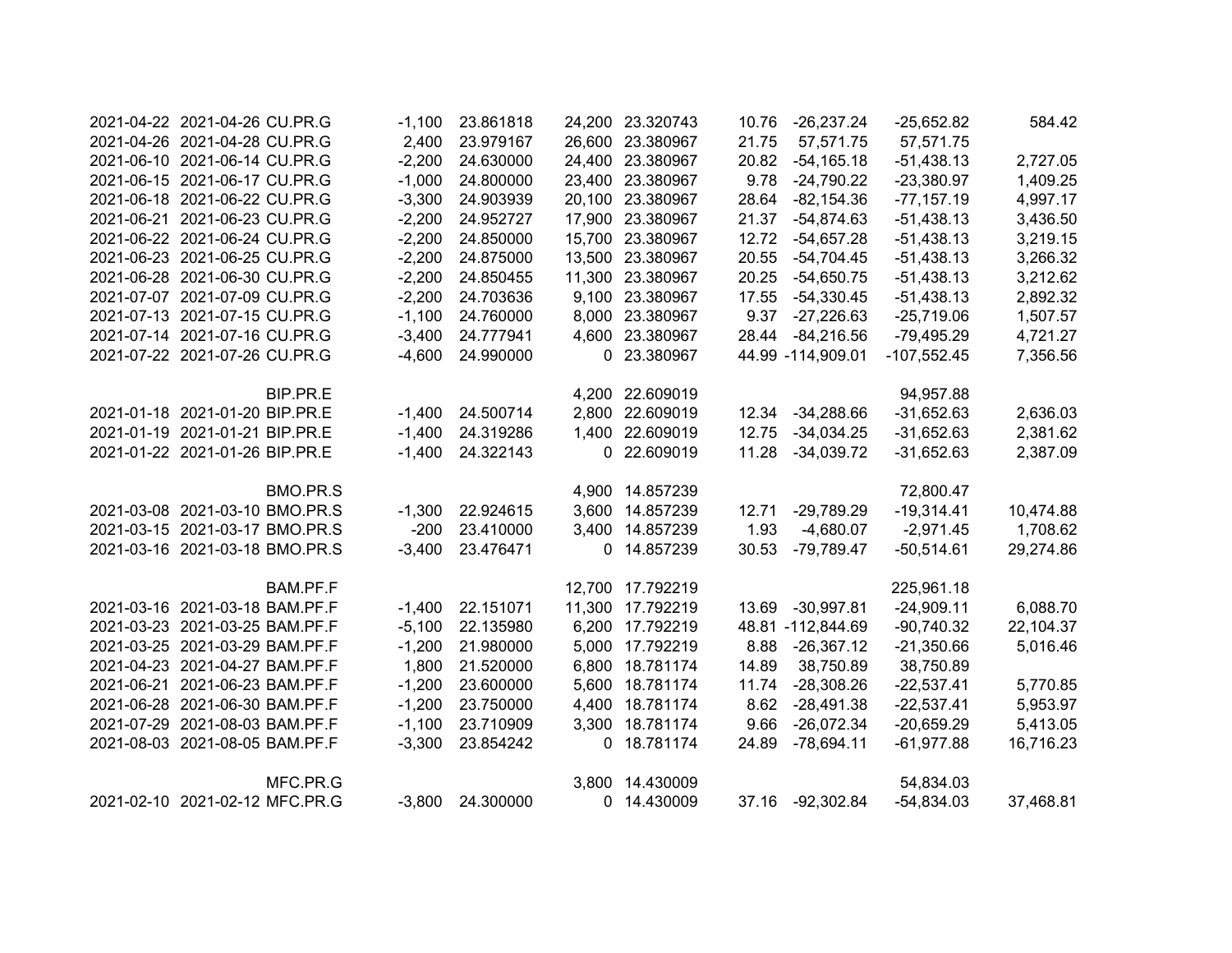| 2021-04-22 2021-04-26 CU.PR.G  |          | $-1,100$ | 23.861818        | 24,200 23.320743 |       | 10.76 -26,237.24  | $-25,652.82$  | 584.42    |
|--------------------------------|----------|----------|------------------|------------------|-------|-------------------|---------------|-----------|
| 2021-04-26 2021-04-28 CU.PR.G  |          | 2,400    | 23.979167        | 26,600 23.380967 | 21.75 | 57,571.75         | 57,571.75     |           |
| 2021-06-10 2021-06-14 CU.PR.G  |          | $-2,200$ | 24.630000        | 24,400 23.380967 | 20.82 | $-54,165.18$      | $-51,438.13$  | 2,727.05  |
| 2021-06-15 2021-06-17 CU.PR.G  |          | $-1,000$ | 24.800000        | 23,400 23.380967 | 9.78  | $-24,790.22$      | $-23,380.97$  | 1,409.25  |
| 2021-06-18 2021-06-22 CU.PR.G  |          | $-3,300$ | 24.903939        | 20,100 23.380967 | 28.64 | $-82,154.36$      | $-77,157.19$  | 4,997.17  |
| 2021-06-21 2021-06-23 CU.PR.G  |          | $-2,200$ | 24.952727        | 17,900 23.380967 | 21.37 | -54,874.63        | $-51,438.13$  | 3,436.50  |
| 2021-06-22 2021-06-24 CU.PR.G  |          | $-2,200$ | 24.850000        | 15,700 23.380967 | 12.72 | $-54,657.28$      | $-51,438.13$  | 3,219.15  |
| 2021-06-23 2021-06-25 CU.PR.G  |          | $-2,200$ | 24.875000        | 13,500 23.380967 | 20.55 | $-54,704.45$      | $-51,438.13$  | 3,266.32  |
| 2021-06-28 2021-06-30 CU.PR.G  |          | $-2,200$ | 24.850455        | 11,300 23.380967 | 20.25 | $-54,650.75$      | $-51,438.13$  | 3,212.62  |
| 2021-07-07 2021-07-09 CU.PR.G  |          | $-2,200$ | 24.703636        | 9,100 23.380967  | 17.55 | $-54,330.45$      | $-51,438.13$  | 2,892.32  |
| 2021-07-13 2021-07-15 CU.PR.G  |          | $-1,100$ | 24.760000        | 8,000 23.380967  | 9.37  | $-27,226.63$      | $-25,719.06$  | 1,507.57  |
| 2021-07-14 2021-07-16 CU.PR.G  |          | $-3,400$ | 24.777941        | 4,600 23.380967  | 28.44 | $-84,216.56$      | $-79,495.29$  | 4,721.27  |
| 2021-07-22 2021-07-26 CU.PR.G  |          | $-4,600$ | 24.990000        | 0 23.380967      |       | 44.99 -114,909.01 | $-107,552.45$ | 7,356.56  |
|                                | BIP.PR.E |          |                  | 4,200 22.609019  |       |                   | 94,957.88     |           |
| 2021-01-18 2021-01-20 BIP.PR.E |          | $-1,400$ | 24.500714        | 2,800 22.609019  | 12.34 | $-34,288.66$      | $-31,652.63$  | 2,636.03  |
| 2021-01-19 2021-01-21 BIP.PR.E |          | $-1,400$ | 24.319286        | 1,400 22.609019  | 12.75 | $-34,034.25$      | $-31,652.63$  | 2,381.62  |
| 2021-01-22 2021-01-26 BIP.PR.E |          | $-1,400$ | 24.322143        | 0 22.609019      | 11.28 | $-34,039.72$      | $-31,652.63$  | 2,387.09  |
|                                | BMO.PR.S |          |                  | 4,900 14.857239  |       |                   | 72,800.47     |           |
| 2021-03-08 2021-03-10 BMO.PR.S |          | $-1,300$ | 22.924615        | 3,600 14.857239  | 12.71 | $-29,789.29$      | $-19,314.41$  | 10,474.88 |
| 2021-03-15 2021-03-17 BMO.PR.S |          | $-200$   | 23.410000        | 3,400 14.857239  | 1.93  | $-4,680.07$       | $-2,971.45$   | 1,708.62  |
| 2021-03-16 2021-03-18 BMO.PR.S |          | $-3,400$ | 23.476471        | 0 14.857239      | 30.53 | -79,789.47        | $-50,514.61$  | 29,274.86 |
|                                | BAM.PF.F |          |                  | 12,700 17.792219 |       |                   | 225,961.18    |           |
| 2021-03-16 2021-03-18 BAM.PF.F |          | $-1,400$ | 22.151071        | 11,300 17.792219 |       | 13.69 -30,997.81  | $-24,909.11$  | 6,088.70  |
| 2021-03-23 2021-03-25 BAM.PF.F |          | $-5,100$ | 22.135980        | 6,200 17.792219  |       | 48.81 -112,844.69 | $-90,740.32$  | 22,104.37 |
| 2021-03-25 2021-03-29 BAM.PF.F |          | $-1,200$ | 21.980000        | 5,000 17.792219  | 8.88  | $-26,367.12$      | $-21,350.66$  | 5,016.46  |
| 2021-04-23 2021-04-27 BAM.PF.F |          | 1,800    | 21.520000        | 6,800 18.781174  | 14.89 | 38,750.89         | 38,750.89     |           |
| 2021-06-21 2021-06-23 BAM.PF.F |          | $-1,200$ | 23.600000        | 5,600 18.781174  | 11.74 | $-28,308.26$      | $-22,537.41$  | 5,770.85  |
| 2021-06-28 2021-06-30 BAM.PF.F |          | $-1,200$ | 23.750000        | 4,400 18.781174  | 8.62  | $-28,491.38$      | $-22,537.41$  | 5,953.97  |
| 2021-07-29 2021-08-03 BAM.PF.F |          | $-1,100$ | 23.710909        | 3,300 18.781174  | 9.66  | $-26,072.34$      | $-20,659.29$  | 5,413.05  |
| 2021-08-03 2021-08-05 BAM.PF.F |          | $-3,300$ | 23.854242        | 0 18.781174      | 24.89 | $-78,694.11$      | $-61,977.88$  | 16,716.23 |
|                                | MFC.PR.G |          |                  | 3,800 14.430009  |       |                   | 54,834.03     |           |
| 2021-02-10 2021-02-12 MFC.PR.G |          |          | -3,800 24.300000 | 0 14.430009      |       | 37.16 -92,302.84  | $-54,834.03$  | 37,468.81 |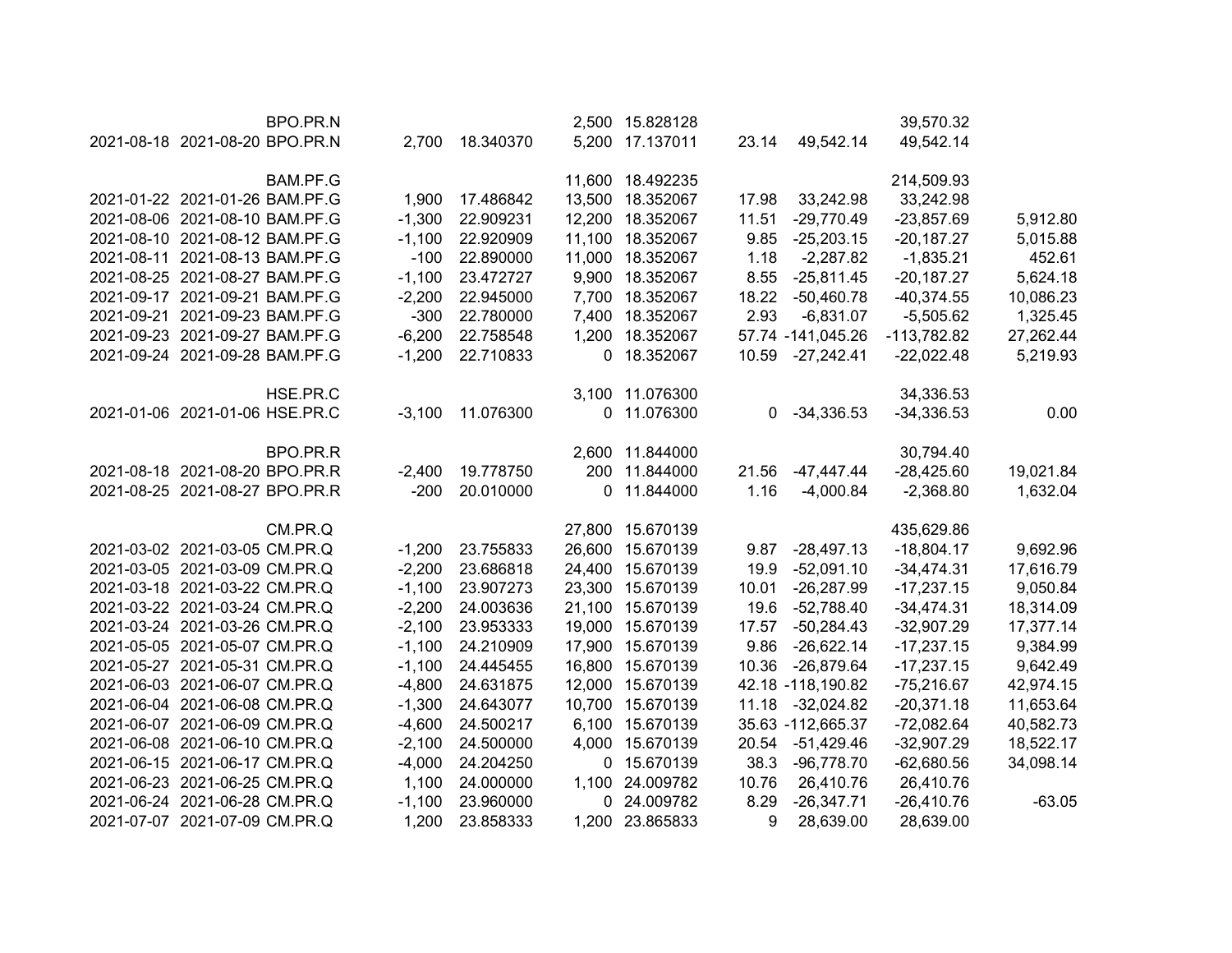| BPO.PR.N                       |          |           |        | 2,500 15.828128  |       |                   | 39,570.32     |           |
|--------------------------------|----------|-----------|--------|------------------|-------|-------------------|---------------|-----------|
| 2021-08-18 2021-08-20 BPO.PR.N | 2,700    | 18.340370 |        | 5,200 17.137011  | 23.14 | 49,542.14         | 49,542.14     |           |
|                                |          |           |        |                  |       |                   |               |           |
| BAM.PF.G                       |          |           |        | 11,600 18.492235 |       |                   | 214,509.93    |           |
| 2021-01-22 2021-01-26 BAM.PF.G | 1,900    | 17.486842 | 13,500 | 18.352067        | 17.98 | 33,242.98         | 33,242.98     |           |
| 2021-08-06 2021-08-10 BAM.PF.G | $-1,300$ | 22.909231 |        | 12,200 18.352067 | 11.51 | $-29,770.49$      | $-23,857.69$  | 5,912.80  |
| 2021-08-10 2021-08-12 BAM.PF.G | $-1,100$ | 22.920909 |        | 11,100 18.352067 | 9.85  | $-25,203.15$      | $-20,187.27$  | 5,015.88  |
| 2021-08-11 2021-08-13 BAM.PF.G | $-100$   | 22.890000 |        | 11,000 18.352067 | 1.18  | $-2,287.82$       | $-1,835.21$   | 452.61    |
| 2021-08-25 2021-08-27 BAM.PF.G | $-1,100$ | 23.472727 |        | 9,900 18.352067  | 8.55  | $-25,811.45$      | $-20,187.27$  | 5,624.18  |
| 2021-09-17 2021-09-21 BAM.PF.G | $-2,200$ | 22.945000 |        | 7,700 18.352067  | 18.22 | $-50,460.78$      | $-40,374.55$  | 10,086.23 |
| 2021-09-21 2021-09-23 BAM.PF.G | $-300$   | 22.780000 |        | 7,400 18.352067  | 2.93  | $-6,831.07$       | $-5,505.62$   | 1,325.45  |
| 2021-09-23 2021-09-27 BAM.PF.G | $-6,200$ | 22.758548 |        | 1,200 18.352067  |       | 57.74 -141,045.26 | $-113,782.82$ | 27,262.44 |
| 2021-09-24 2021-09-28 BAM.PF.G | $-1,200$ | 22.710833 |        | 0 18.352067      | 10.59 | $-27,242.41$      | $-22,022.48$  | 5,219.93  |
| HSE.PR.C                       |          |           |        | 3,100 11.076300  |       |                   | 34,336.53     |           |
| 2021-01-06 2021-01-06 HSE.PR.C | $-3,100$ | 11.076300 |        | 0 11.076300      | 0     | $-34,336.53$      | $-34,336.53$  | 0.00      |
|                                |          |           |        |                  |       |                   |               |           |
| BPO.PR.R                       |          |           |        | 2,600 11.844000  |       |                   | 30,794.40     |           |
| 2021-08-18 2021-08-20 BPO.PR.R | $-2,400$ | 19.778750 | 200    | 11.844000        | 21.56 | $-47,447.44$      | $-28,425.60$  | 19,021.84 |
| 2021-08-25 2021-08-27 BPO.PR.R | $-200$   | 20.010000 | 0      | 11.844000        | 1.16  | $-4,000.84$       | $-2,368.80$   | 1,632.04  |
| CM.PR.Q                        |          |           |        | 27,800 15.670139 |       |                   | 435,629.86    |           |
| 2021-03-02 2021-03-05 CM.PR.Q  | $-1,200$ | 23.755833 | 26,600 | 15.670139        | 9.87  | $-28,497.13$      | $-18,804.17$  | 9,692.96  |
| 2021-03-05 2021-03-09 CM.PR.Q  | $-2,200$ | 23.686818 |        | 24,400 15.670139 | 19.9  | $-52,091.10$      | $-34,474.31$  | 17,616.79 |
| 2021-03-18 2021-03-22 CM.PR.Q  | $-1,100$ | 23.907273 |        | 23,300 15.670139 | 10.01 | $-26,287.99$      | $-17,237.15$  | 9,050.84  |
| 2021-03-22 2021-03-24 CM.PR.Q  | $-2,200$ | 24.003636 |        | 21,100 15.670139 | 19.6  | -52,788.40        | $-34,474.31$  | 18,314.09 |
| 2021-03-24 2021-03-26 CM.PR.Q  | $-2,100$ | 23.953333 |        | 19,000 15.670139 | 17.57 | $-50,284.43$      | $-32,907.29$  | 17,377.14 |
| 2021-05-05 2021-05-07 CM.PR.Q  | $-1,100$ | 24.210909 |        | 17,900 15.670139 | 9.86  | $-26,622.14$      | $-17,237.15$  | 9,384.99  |
| 2021-05-27 2021-05-31 CM.PR.Q  | $-1,100$ | 24.445455 |        | 16,800 15.670139 | 10.36 | $-26,879.64$      | $-17,237.15$  | 9,642.49  |
| 2021-06-03 2021-06-07 CM.PR.Q  | $-4,800$ | 24.631875 |        | 12,000 15.670139 |       | 42.18 -118,190.82 | $-75,216.67$  | 42,974.15 |
| 2021-06-04 2021-06-08 CM.PR.Q  | $-1,300$ | 24.643077 |        | 10,700 15.670139 | 11.18 | $-32,024.82$      | $-20,371.18$  | 11,653.64 |
| 2021-06-07 2021-06-09 CM.PR.Q  | $-4,600$ | 24.500217 |        | 6,100 15.670139  |       | 35.63 -112,665.37 | $-72,082.64$  | 40,582.73 |
| 2021-06-08 2021-06-10 CM.PR.Q  | $-2,100$ | 24.500000 |        | 4,000 15.670139  | 20.54 | $-51,429.46$      | $-32,907.29$  | 18,522.17 |
| 2021-06-15 2021-06-17 CM.PR.Q  | $-4,000$ | 24.204250 |        | 0 15.670139      | 38.3  | $-96,778.70$      | $-62,680.56$  | 34,098.14 |
| 2021-06-23 2021-06-25 CM.PR.Q  | 1,100    | 24.000000 |        | 1,100 24.009782  | 10.76 | 26,410.76         | 26,410.76     |           |
| 2021-06-24 2021-06-28 CM.PR.Q  | $-1,100$ | 23.960000 |        | 0 24.009782      | 8.29  | $-26,347.71$      | $-26,410.76$  | $-63.05$  |
| 2021-07-07 2021-07-09 CM.PR.Q  | 1,200    | 23.858333 |        | 1,200 23.865833  | 9     | 28,639.00         | 28,639.00     |           |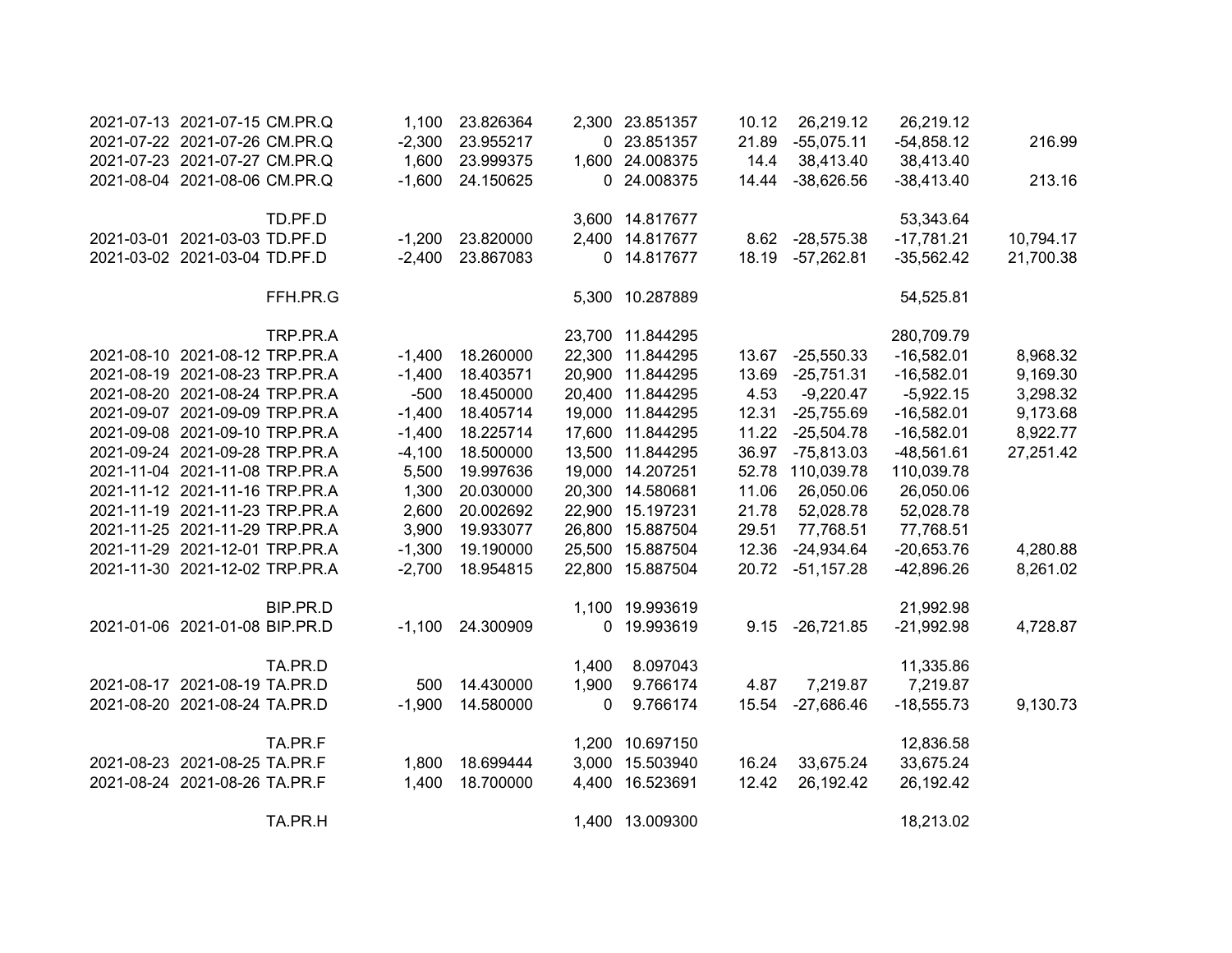| 2021-07-13 2021-07-15 CM.PR.Q  |          | 1,100    | 23.826364 |             | 2,300 23.851357  | 10.12 | 26,219.12        | 26,219.12    |           |
|--------------------------------|----------|----------|-----------|-------------|------------------|-------|------------------|--------------|-----------|
| 2021-07-22 2021-07-26 CM.PR.Q  |          | $-2,300$ | 23.955217 |             | 0 23.851357      | 21.89 | $-55,075.11$     | $-54,858.12$ | 216.99    |
| 2021-07-23 2021-07-27 CM.PR.Q  |          | 1,600    | 23.999375 |             | 1,600 24.008375  | 14.4  | 38,413.40        | 38,413.40    |           |
| 2021-08-04 2021-08-06 CM.PR.Q  |          | $-1,600$ | 24.150625 |             | 0 24.008375      | 14.44 | $-38,626.56$     | $-38,413.40$ | 213.16    |
|                                | TD.PF.D  |          |           |             | 3,600 14.817677  |       |                  | 53,343.64    |           |
| 2021-03-01 2021-03-03 TD.PF.D  |          | $-1,200$ | 23.820000 |             | 2,400 14.817677  | 8.62  | $-28,575.38$     | $-17,781.21$ | 10,794.17 |
| 2021-03-02 2021-03-04 TD.PF.D  |          | $-2,400$ | 23.867083 |             | 0 14.817677      | 18.19 | $-57,262.81$     | $-35,562.42$ | 21,700.38 |
|                                | FFH.PR.G |          |           |             | 5,300 10.287889  |       |                  | 54,525.81    |           |
|                                | TRP.PR.A |          |           |             | 23,700 11.844295 |       |                  | 280,709.79   |           |
| 2021-08-10 2021-08-12 TRP.PR.A |          | $-1,400$ | 18.260000 |             | 22,300 11.844295 | 13.67 | $-25,550.33$     | $-16,582.01$ | 8,968.32  |
| 2021-08-19 2021-08-23 TRP.PR.A |          | $-1,400$ | 18.403571 |             | 20,900 11.844295 | 13.69 | $-25,751.31$     | $-16,582.01$ | 9,169.30  |
| 2021-08-20 2021-08-24 TRP.PR.A |          | $-500$   | 18.450000 |             | 20,400 11.844295 | 4.53  | $-9,220.47$      | $-5,922.15$  | 3,298.32  |
| 2021-09-07 2021-09-09 TRP.PR.A |          | $-1,400$ | 18.405714 |             | 19,000 11.844295 | 12.31 | $-25,755.69$     | $-16,582.01$ | 9,173.68  |
| 2021-09-08 2021-09-10 TRP.PR.A |          | $-1,400$ | 18.225714 |             | 17,600 11.844295 | 11.22 | $-25,504.78$     | $-16,582.01$ | 8,922.77  |
| 2021-09-24 2021-09-28 TRP.PR.A |          | $-4,100$ | 18.500000 |             | 13,500 11.844295 | 36.97 | $-75,813.03$     | $-48,561.61$ | 27,251.42 |
| 2021-11-04 2021-11-08 TRP.PR.A |          | 5,500    | 19.997636 |             | 19,000 14.207251 |       | 52.78 110,039.78 | 110,039.78   |           |
| 2021-11-12 2021-11-16 TRP.PR.A |          | 1,300    | 20.030000 |             | 20,300 14.580681 | 11.06 | 26,050.06        | 26,050.06    |           |
| 2021-11-19 2021-11-23 TRP.PR.A |          | 2,600    | 20.002692 |             | 22,900 15.197231 | 21.78 | 52,028.78        | 52,028.78    |           |
| 2021-11-25 2021-11-29 TRP.PR.A |          | 3,900    | 19.933077 |             | 26,800 15.887504 | 29.51 | 77,768.51        | 77,768.51    |           |
| 2021-11-29 2021-12-01 TRP.PR.A |          | $-1,300$ | 19.190000 |             | 25,500 15.887504 | 12.36 | $-24,934.64$     | $-20,653.76$ | 4,280.88  |
| 2021-11-30 2021-12-02 TRP.PR.A |          | $-2,700$ | 18.954815 |             | 22,800 15.887504 | 20.72 | $-51,157.28$     | $-42,896.26$ | 8,261.02  |
|                                | BIP.PR.D |          |           |             | 1,100 19.993619  |       |                  | 21,992.98    |           |
| 2021-01-06 2021-01-08 BIP.PR.D |          | $-1,100$ | 24.300909 | $\mathbf 0$ | 19.993619        |       | 9.15 -26,721.85  | $-21,992.98$ | 4,728.87  |
|                                | TA.PR.D  |          |           | 1,400       | 8.097043         |       |                  | 11,335.86    |           |
| 2021-08-17 2021-08-19 TA.PR.D  |          | 500      | 14.430000 | 1,900       | 9.766174         | 4.87  | 7,219.87         | 7,219.87     |           |
| 2021-08-20 2021-08-24 TA.PR.D  |          | $-1,900$ | 14.580000 | 0           | 9.766174         | 15.54 | $-27,686.46$     | $-18,555.73$ | 9,130.73  |
|                                | TA.PR.F  |          |           |             | 1,200 10.697150  |       |                  | 12,836.58    |           |
| 2021-08-23 2021-08-25 TA.PR.F  |          | 1,800    | 18.699444 |             | 3,000 15.503940  | 16.24 | 33,675.24        | 33,675.24    |           |
| 2021-08-24 2021-08-26 TA.PR.F  |          | 1,400    | 18.700000 |             | 4,400 16.523691  | 12.42 | 26,192.42        | 26,192.42    |           |
|                                | TA.PR.H  |          |           |             | 1,400 13.009300  |       |                  | 18,213.02    |           |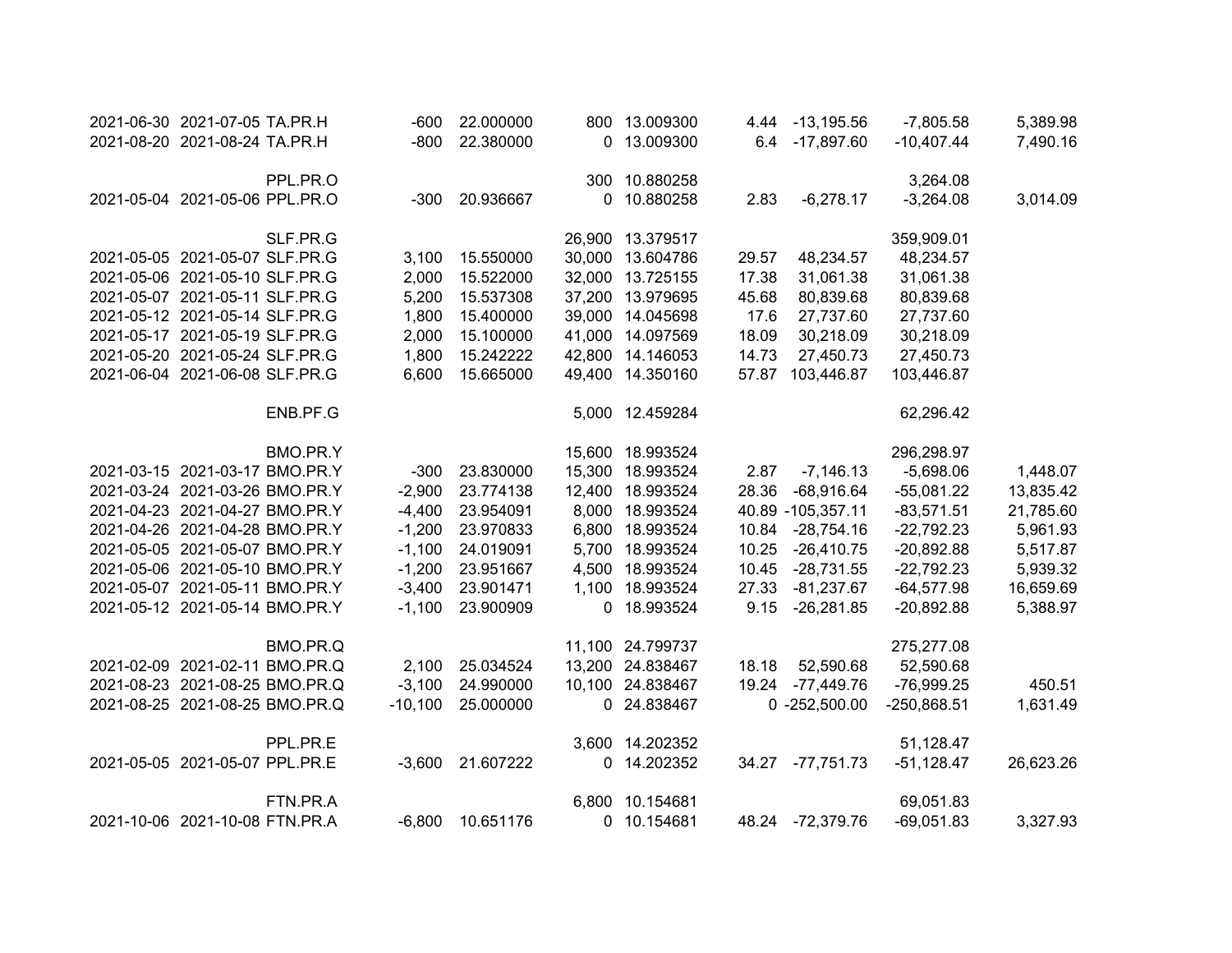| 2021-06-30 2021-07-05 TA.PR.H  |          | $-600$    | 22.000000 | 800 13.009300    |       | 4.44 -13,195.56   | $-7,805.58$  | 5,389.98  |
|--------------------------------|----------|-----------|-----------|------------------|-------|-------------------|--------------|-----------|
| 2021-08-20 2021-08-24 TA.PR.H  |          | $-800$    | 22.380000 | 0 13.009300      |       | 6.4 -17,897.60    | $-10,407.44$ | 7,490.16  |
|                                | PPL.PR.O |           |           | 300 10.880258    |       |                   | 3,264.08     |           |
| 2021-05-04 2021-05-06 PPL.PR.O |          | $-300$    | 20.936667 | 0 10.880258      | 2.83  | $-6,278.17$       | $-3,264.08$  | 3,014.09  |
|                                | SLF.PR.G |           |           | 26,900 13.379517 |       |                   | 359,909.01   |           |
| 2021-05-05 2021-05-07 SLF.PR.G |          | 3,100     | 15.550000 | 30,000 13.604786 | 29.57 | 48,234.57         | 48,234.57    |           |
| 2021-05-06 2021-05-10 SLF.PR.G |          | 2,000     | 15.522000 | 32,000 13.725155 | 17.38 | 31,061.38         | 31,061.38    |           |
| 2021-05-07 2021-05-11 SLF.PR.G |          | 5,200     | 15.537308 | 37,200 13.979695 | 45.68 | 80,839.68         | 80,839.68    |           |
| 2021-05-12 2021-05-14 SLF.PR.G |          | 1,800     | 15.400000 | 39,000 14.045698 | 17.6  | 27,737.60         | 27,737.60    |           |
| 2021-05-17 2021-05-19 SLF.PR.G |          | 2,000     | 15.100000 | 41,000 14.097569 | 18.09 | 30,218.09         | 30,218.09    |           |
| 2021-05-20 2021-05-24 SLF.PR.G |          | 1,800     | 15.242222 | 42,800 14.146053 | 14.73 | 27,450.73         | 27,450.73    |           |
| 2021-06-04 2021-06-08 SLF.PR.G |          | 6,600     | 15.665000 | 49,400 14.350160 | 57.87 | 103,446.87        | 103,446.87   |           |
|                                | ENB.PF.G |           |           | 5,000 12.459284  |       |                   | 62,296.42    |           |
|                                | BMO.PR.Y |           |           | 15,600 18.993524 |       |                   | 296,298.97   |           |
| 2021-03-15 2021-03-17 BMO.PR.Y |          | $-300$    | 23.830000 | 15,300 18.993524 | 2.87  | $-7,146.13$       | $-5,698.06$  | 1,448.07  |
| 2021-03-24 2021-03-26 BMO.PR.Y |          | $-2,900$  | 23.774138 | 12,400 18.993524 | 28.36 | $-68,916.64$      | $-55,081.22$ | 13,835.42 |
| 2021-04-23 2021-04-27 BMO.PR.Y |          | $-4,400$  | 23.954091 | 8,000 18.993524  |       | 40.89 -105,357.11 | $-83,571.51$ | 21,785.60 |
| 2021-04-26 2021-04-28 BMO.PR.Y |          | $-1,200$  | 23.970833 | 6,800 18.993524  |       | 10.84 -28,754.16  | $-22,792.23$ | 5,961.93  |
| 2021-05-05 2021-05-07 BMO.PR.Y |          | $-1,100$  | 24.019091 | 5,700 18.993524  | 10.25 | $-26,410.75$      | $-20,892.88$ | 5,517.87  |
| 2021-05-06 2021-05-10 BMO.PR.Y |          | $-1,200$  | 23.951667 | 4,500 18.993524  | 10.45 | -28,731.55        | $-22,792.23$ | 5,939.32  |
| 2021-05-07 2021-05-11 BMO.PR.Y |          | $-3,400$  | 23.901471 | 1,100 18.993524  | 27.33 | $-81,237.67$      | $-64,577.98$ | 16,659.69 |
| 2021-05-12 2021-05-14 BMO.PR.Y |          | $-1,100$  | 23.900909 | 0 18.993524      | 9.15  | $-26,281.85$      | $-20,892.88$ | 5,388.97  |
|                                | BMO.PR.Q |           |           | 11,100 24.799737 |       |                   | 275,277.08   |           |
| 2021-02-09 2021-02-11 BMO.PR.Q |          | 2,100     | 25.034524 | 13,200 24.838467 | 18.18 | 52,590.68         | 52,590.68    |           |
| 2021-08-23 2021-08-25 BMO.PR.Q |          | $-3,100$  | 24.990000 | 10,100 24.838467 |       | 19.24 -77,449.76  | $-76,999.25$ | 450.51    |
| 2021-08-25 2021-08-25 BMO.PR.Q |          | $-10,100$ | 25.000000 | 0 24.838467      |       | 0 -252,500.00     | -250,868.51  | 1,631.49  |
|                                | PPL.PR.E |           |           | 3,600 14.202352  |       |                   | 51,128.47    |           |
| 2021-05-05 2021-05-07 PPL.PR.E |          | $-3,600$  | 21.607222 | 0 14.202352      |       | 34.27 -77,751.73  | $-51,128.47$ | 26,623.26 |
|                                | FTN.PR.A |           |           | 6,800 10.154681  |       |                   | 69,051.83    |           |
| 2021-10-06 2021-10-08 FTN.PR.A |          | $-6,800$  | 10.651176 | 0 10.154681      |       | 48.24 -72,379.76  | $-69,051.83$ | 3,327.93  |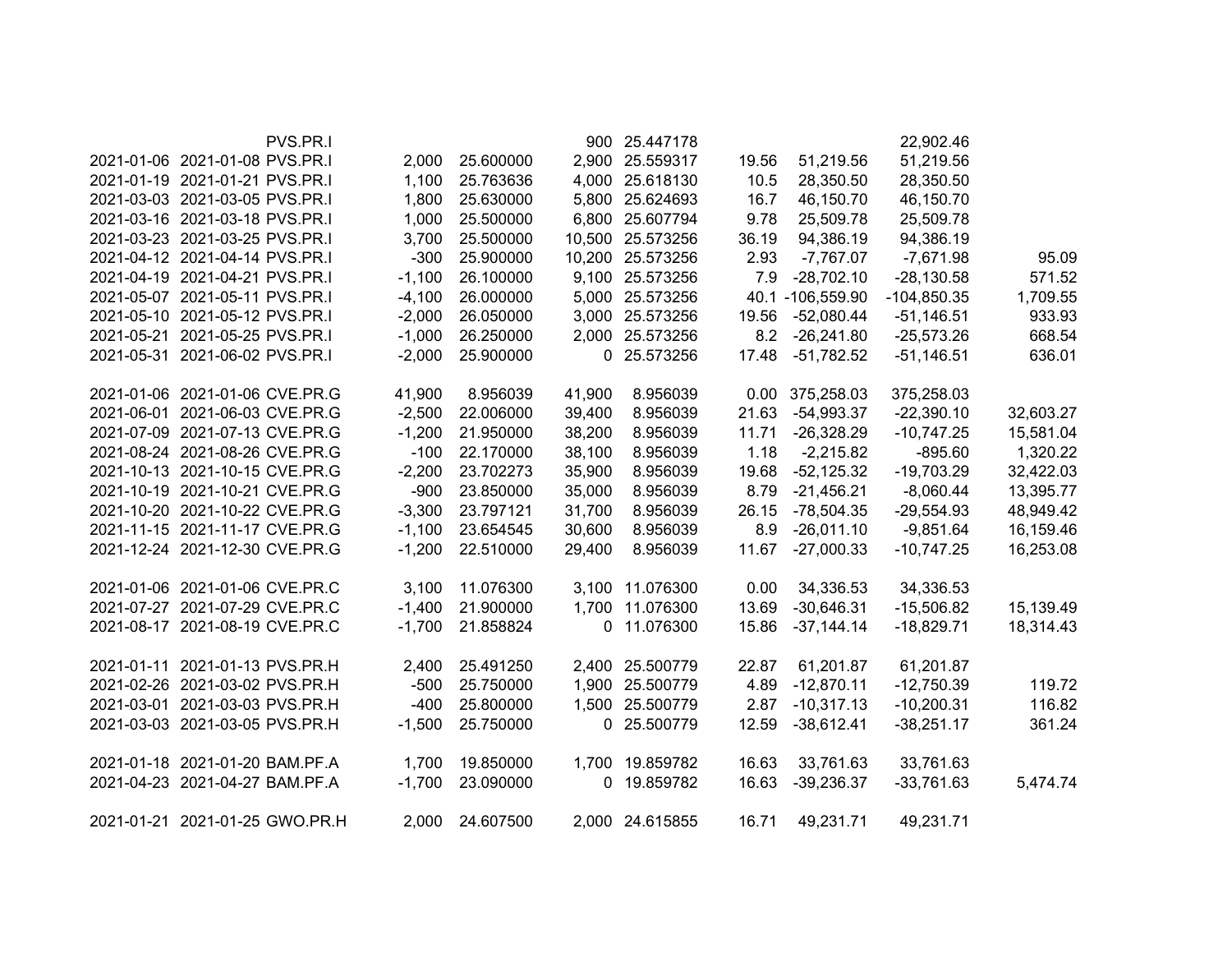| PVS.PR.I                       |          |           |        | 900 25.447178    |       |                  | 22,902.46     |           |
|--------------------------------|----------|-----------|--------|------------------|-------|------------------|---------------|-----------|
| 2021-01-06 2021-01-08 PVS.PR.I | 2,000    | 25.600000 |        | 2,900 25.559317  | 19.56 | 51,219.56        | 51,219.56     |           |
| 2021-01-19 2021-01-21 PVS.PR.I | 1,100    | 25.763636 |        | 4,000 25.618130  | 10.5  | 28,350.50        | 28,350.50     |           |
| 2021-03-03 2021-03-05 PVS.PR.I | 1,800    | 25.630000 |        | 5,800 25.624693  | 16.7  | 46,150.70        | 46,150.70     |           |
| 2021-03-16 2021-03-18 PVS.PR.I | 1,000    | 25.500000 |        | 6,800 25.607794  | 9.78  | 25,509.78        | 25,509.78     |           |
| 2021-03-23 2021-03-25 PVS.PR.I | 3,700    | 25.500000 |        | 10,500 25.573256 | 36.19 | 94,386.19        | 94,386.19     |           |
| 2021-04-12 2021-04-14 PVS.PR.I | $-300$   | 25.900000 |        | 10,200 25.573256 | 2.93  | $-7,767.07$      | $-7,671.98$   | 95.09     |
| 2021-04-19 2021-04-21 PVS.PR.I | $-1,100$ | 26.100000 |        | 9,100 25.573256  | 7.9   | $-28,702.10$     | $-28,130.58$  | 571.52    |
| 2021-05-07 2021-05-11 PVS.PR.I | $-4,100$ | 26.000000 |        | 5,000 25.573256  |       | 40.1 -106,559.90 | $-104,850.35$ | 1,709.55  |
| 2021-05-10 2021-05-12 PVS.PR.I | $-2,000$ | 26.050000 |        | 3,000 25.573256  | 19.56 | $-52,080.44$     | $-51,146.51$  | 933.93    |
| 2021-05-21 2021-05-25 PVS.PR.I | $-1,000$ | 26.250000 |        | 2,000 25.573256  | 8.2   | $-26,241.80$     | $-25,573.26$  | 668.54    |
| 2021-05-31 2021-06-02 PVS.PR.I | $-2,000$ | 25.900000 |        | 0 25.573256      | 17.48 | $-51,782.52$     | $-51,146.51$  | 636.01    |
| 2021-01-06 2021-01-06 CVE.PR.G | 41,900   | 8.956039  | 41,900 | 8.956039         | 0.00  | 375,258.03       | 375,258.03    |           |
| 2021-06-01 2021-06-03 CVE.PR.G | $-2,500$ | 22.006000 | 39,400 | 8.956039         | 21.63 | $-54,993.37$     | $-22,390.10$  | 32,603.27 |
| 2021-07-09 2021-07-13 CVE.PR.G | $-1,200$ | 21.950000 | 38,200 | 8.956039         | 11.71 | $-26,328.29$     | $-10,747.25$  | 15,581.04 |
| 2021-08-24 2021-08-26 CVE.PR.G | $-100$   | 22.170000 | 38,100 | 8.956039         | 1.18  | $-2,215.82$      | $-895.60$     | 1,320.22  |
| 2021-10-13 2021-10-15 CVE.PR.G | $-2,200$ | 23.702273 | 35,900 | 8.956039         | 19.68 | $-52,125.32$     | $-19,703.29$  | 32,422.03 |
| 2021-10-19 2021-10-21 CVE.PR.G | $-900$   | 23.850000 | 35,000 | 8.956039         | 8.79  | $-21,456.21$     | $-8,060.44$   | 13,395.77 |
| 2021-10-20 2021-10-22 CVE.PR.G | $-3,300$ | 23.797121 | 31,700 | 8.956039         | 26.15 | $-78,504.35$     | $-29,554.93$  | 48,949.42 |
| 2021-11-15 2021-11-17 CVE.PR.G | $-1,100$ | 23.654545 | 30,600 | 8.956039         | 8.9   | $-26,011.10$     | $-9,851.64$   | 16,159.46 |
| 2021-12-24 2021-12-30 CVE.PR.G | $-1,200$ | 22.510000 | 29,400 | 8.956039         | 11.67 | $-27,000.33$     | $-10,747.25$  | 16,253.08 |
| 2021-01-06 2021-01-06 CVE.PR.C | 3,100    | 11.076300 |        | 3,100 11.076300  | 0.00  | 34,336.53        | 34,336.53     |           |
| 2021-07-27 2021-07-29 CVE.PR.C | $-1,400$ | 21.900000 |        | 1,700 11.076300  | 13.69 | $-30,646.31$     | $-15,506.82$  | 15,139.49 |
| 2021-08-17 2021-08-19 CVE.PR.C | $-1,700$ | 21.858824 |        | 0 11.076300      | 15.86 | $-37,144.14$     | $-18,829.71$  | 18,314.43 |
| 2021-01-11 2021-01-13 PVS.PR.H | 2,400    | 25.491250 |        | 2,400 25.500779  | 22.87 | 61,201.87        | 61,201.87     |           |
| 2021-02-26 2021-03-02 PVS.PR.H | $-500$   | 25.750000 |        | 1,900 25.500779  | 4.89  | $-12,870.11$     | $-12,750.39$  | 119.72    |
| 2021-03-01 2021-03-03 PVS.PR.H | $-400$   | 25.800000 |        | 1,500 25.500779  | 2.87  | $-10,317.13$     | $-10,200.31$  | 116.82    |
| 2021-03-03 2021-03-05 PVS.PR.H | $-1,500$ | 25.750000 |        | 0 25.500779      | 12.59 | $-38,612.41$     | $-38,251.17$  | 361.24    |
| 2021-01-18 2021-01-20 BAM.PF.A | 1,700    | 19.850000 |        | 1,700 19.859782  | 16.63 | 33,761.63        | 33,761.63     |           |
| 2021-04-23 2021-04-27 BAM.PF.A | $-1,700$ | 23.090000 |        | 0 19.859782      | 16.63 | $-39,236.37$     | $-33,761.63$  | 5,474.74  |
| 2021-01-21 2021-01-25 GWO.PR.H | 2,000    | 24.607500 |        | 2,000 24.615855  | 16.71 | 49,231.71        | 49,231.71     |           |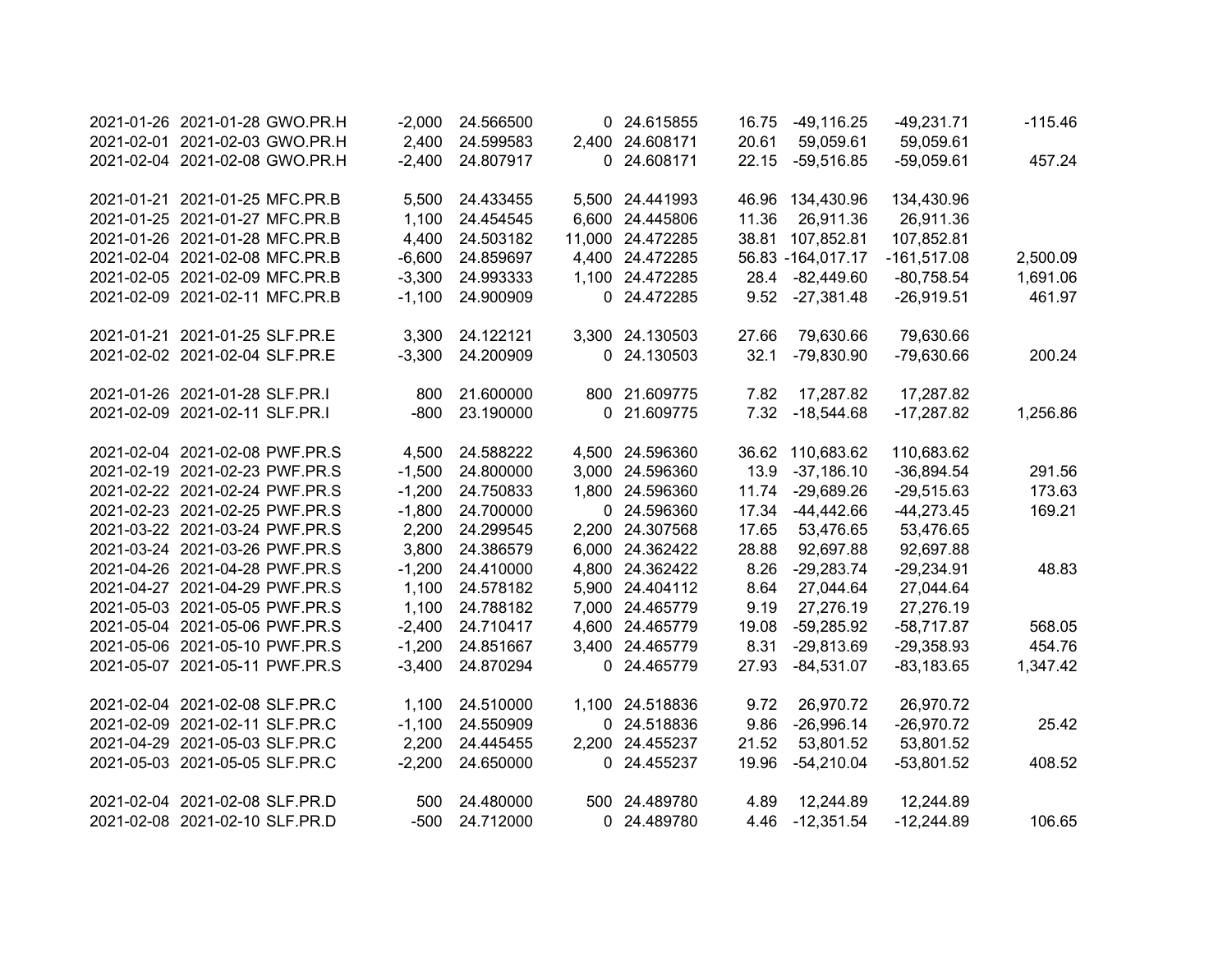| 2021-01-26 2021-01-28 GWO.PR.H | $-2,000$ | 24.566500 | 0 24.615855      | 16.75 | $-49,116.25$        | $-49,231.71$  | $-115.46$ |
|--------------------------------|----------|-----------|------------------|-------|---------------------|---------------|-----------|
| 2021-02-01 2021-02-03 GWO.PR.H | 2,400    | 24.599583 | 2,400 24.608171  | 20.61 | 59,059.61           | 59,059.61     |           |
| 2021-02-04 2021-02-08 GWO.PR.H | $-2,400$ | 24.807917 | 0 24.608171      | 22.15 | $-59,516.85$        | $-59,059.61$  | 457.24    |
| 2021-01-21 2021-01-25 MFC.PR.B | 5,500    | 24.433455 | 5,500 24.441993  |       | 46.96 134,430.96    | 134,430.96    |           |
| 2021-01-25 2021-01-27 MFC.PR.B | 1,100    | 24.454545 | 6,600 24.445806  | 11.36 | 26,911.36           | 26,911.36     |           |
| 2021-01-26 2021-01-28 MFC.PR.B | 4,400    | 24.503182 | 11,000 24.472285 |       | 38.81 107,852.81    | 107,852.81    |           |
| 2021-02-04 2021-02-08 MFC.PR.B | $-6,600$ | 24.859697 | 4,400 24.472285  |       | 56.83 - 164, 017.17 | $-161,517.08$ | 2,500.09  |
| 2021-02-05 2021-02-09 MFC.PR.B | $-3,300$ | 24.993333 | 1,100 24.472285  | 28.4  | $-82,449.60$        | $-80,758.54$  | 1,691.06  |
| 2021-02-09 2021-02-11 MFC.PR.B | $-1,100$ | 24.900909 | 0 24.472285      |       | 9.52 -27,381.48     | $-26,919.51$  | 461.97    |
| 2021-01-21 2021-01-25 SLF.PR.E | 3,300    | 24.122121 | 3,300 24.130503  | 27.66 | 79,630.66           | 79,630.66     |           |
| 2021-02-02 2021-02-04 SLF.PR.E | $-3,300$ | 24.200909 | 0 24.130503      | 32.1  | $-79,830.90$        | -79,630.66    | 200.24    |
| 2021-01-26 2021-01-28 SLF.PR.I | 800      | 21.600000 | 800 21.609775    | 7.82  | 17,287.82           | 17,287.82     |           |
| 2021-02-09 2021-02-11 SLF.PR.I | $-800$   | 23.190000 | 0 21.609775      | 7.32  | $-18,544.68$        | $-17,287.82$  | 1,256.86  |
| 2021-02-04 2021-02-08 PWF.PR.S | 4,500    | 24.588222 | 4,500 24.596360  |       | 36.62 110,683.62    | 110,683.62    |           |
| 2021-02-19 2021-02-23 PWF.PR.S | $-1,500$ | 24.800000 | 3,000 24.596360  | 13.9  | $-37,186.10$        | $-36,894.54$  | 291.56    |
| 2021-02-22 2021-02-24 PWF.PR.S | $-1,200$ | 24.750833 | 1,800 24.596360  | 11.74 | $-29,689.26$        | $-29,515.63$  | 173.63    |
| 2021-02-23 2021-02-25 PWF.PR.S | $-1,800$ | 24.700000 | 0 24.596360      | 17.34 | $-44,442.66$        | $-44,273.45$  | 169.21    |
| 2021-03-22 2021-03-24 PWF.PR.S | 2,200    | 24.299545 | 2,200 24.307568  | 17.65 | 53,476.65           | 53,476.65     |           |
| 2021-03-24 2021-03-26 PWF.PR.S | 3,800    | 24.386579 | 6,000 24.362422  | 28.88 | 92,697.88           | 92,697.88     |           |
| 2021-04-26 2021-04-28 PWF.PR.S | $-1,200$ | 24.410000 | 4,800 24.362422  | 8.26  | $-29,283.74$        | $-29,234.91$  | 48.83     |
| 2021-04-27 2021-04-29 PWF.PR.S | 1,100    | 24.578182 | 5,900 24.404112  | 8.64  | 27,044.64           | 27,044.64     |           |
| 2021-05-03 2021-05-05 PWF.PR.S | 1,100    | 24.788182 | 7,000 24.465779  | 9.19  | 27,276.19           | 27,276.19     |           |
| 2021-05-04 2021-05-06 PWF.PR.S | $-2,400$ | 24.710417 | 4,600 24.465779  | 19.08 | $-59,285.92$        | $-58,717.87$  | 568.05    |
| 2021-05-06 2021-05-10 PWF.PR.S | $-1,200$ | 24.851667 | 3,400 24.465779  | 8.31  | $-29,813.69$        | $-29,358.93$  | 454.76    |
| 2021-05-07 2021-05-11 PWF.PR.S | $-3,400$ | 24.870294 | 0 24.465779      | 27.93 | $-84,531.07$        | $-83,183.65$  | 1,347.42  |
| 2021-02-04 2021-02-08 SLF.PR.C | 1,100    | 24.510000 | 1,100 24.518836  | 9.72  | 26,970.72           | 26,970.72     |           |
| 2021-02-09 2021-02-11 SLF.PR.C | $-1,100$ | 24.550909 | 0 24.518836      | 9.86  | $-26,996.14$        | $-26,970.72$  | 25.42     |
| 2021-04-29 2021-05-03 SLF.PR.C | 2,200    | 24.445455 | 2,200 24.455237  | 21.52 | 53,801.52           | 53,801.52     |           |
| 2021-05-03 2021-05-05 SLF.PR.C | $-2,200$ | 24.650000 | 0 24.455237      | 19.96 | $-54,210.04$        | $-53,801.52$  | 408.52    |
| 2021-02-04 2021-02-08 SLF.PR.D | 500      | 24.480000 | 500 24.489780    | 4.89  | 12,244.89           | 12,244.89     |           |
| 2021-02-08 2021-02-10 SLF.PR.D | $-500$   | 24.712000 | 0 24.489780      |       | 4.46 -12,351.54     | $-12,244.89$  | 106.65    |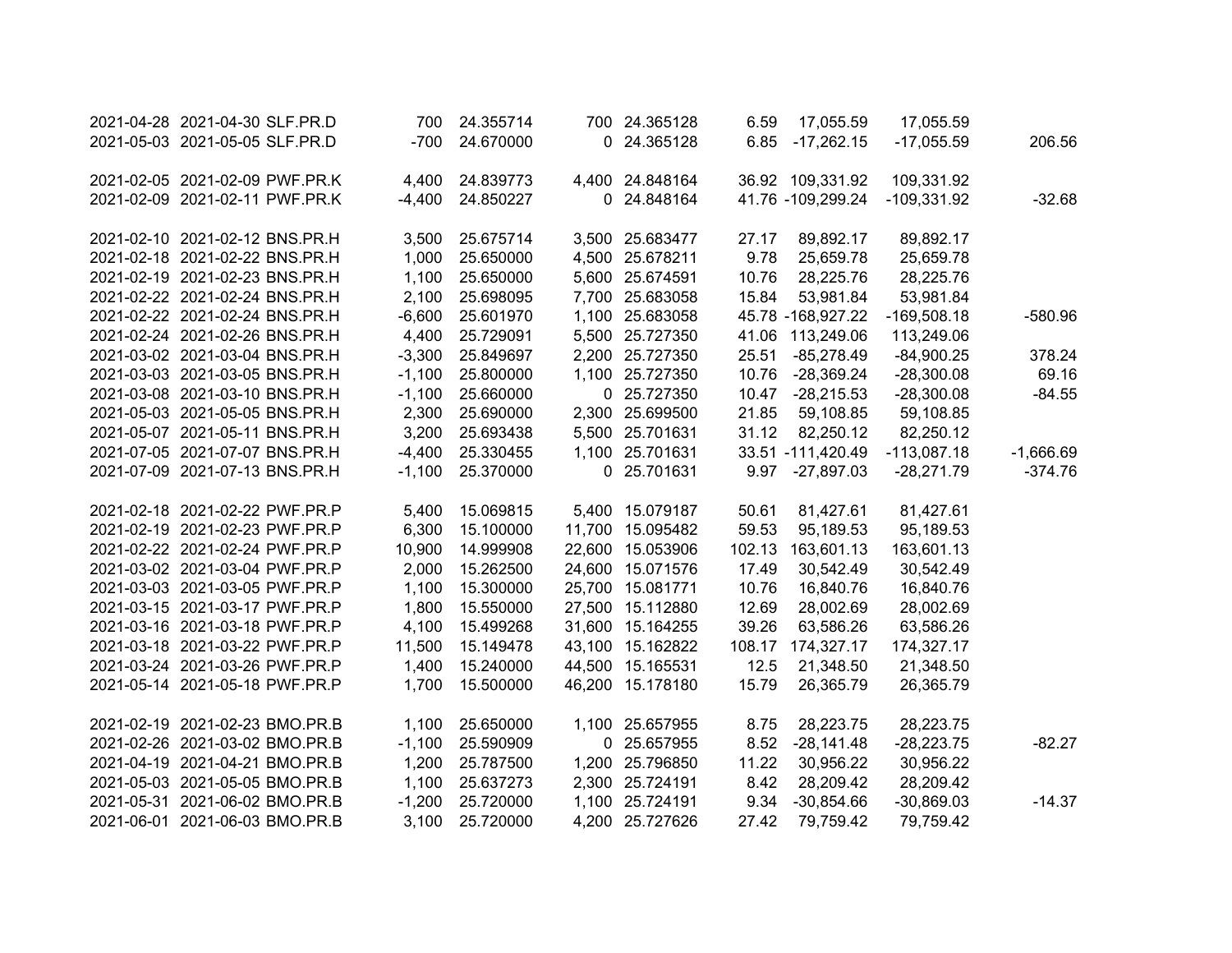| 2021-04-28 2021-04-30 SLF.PR.D | 700      | 24.355714 | 700 24.365128    | 6.59   | 17,055.59         | 17,055.59     |             |
|--------------------------------|----------|-----------|------------------|--------|-------------------|---------------|-------------|
| 2021-05-03 2021-05-05 SLF.PR.D | $-700$   | 24.670000 | 0 24.365128      | 6.85   | $-17,262.15$      | $-17,055.59$  | 206.56      |
| 2021-02-05 2021-02-09 PWF.PR.K | 4,400    | 24.839773 | 4,400 24.848164  |        | 36.92 109,331.92  | 109,331.92    |             |
| 2021-02-09 2021-02-11 PWF.PR.K | $-4,400$ | 24.850227 | 0 24.848164      |        | 41.76 -109,299.24 | $-109,331.92$ | $-32.68$    |
|                                |          |           |                  |        |                   |               |             |
| 2021-02-10 2021-02-12 BNS.PR.H | 3,500    | 25.675714 | 3,500 25.683477  | 27.17  | 89,892.17         | 89,892.17     |             |
| 2021-02-18 2021-02-22 BNS.PR.H | 1,000    | 25.650000 | 4,500 25.678211  | 9.78   | 25,659.78         | 25,659.78     |             |
| 2021-02-19 2021-02-23 BNS.PR.H | 1,100    | 25.650000 | 5,600 25.674591  | 10.76  | 28,225.76         | 28,225.76     |             |
| 2021-02-22 2021-02-24 BNS.PR.H | 2,100    | 25.698095 | 7,700 25.683058  | 15.84  | 53,981.84         | 53,981.84     |             |
| 2021-02-22 2021-02-24 BNS.PR.H | $-6,600$ | 25.601970 | 1,100 25.683058  |        | 45.78 -168,927.22 | $-169,508.18$ | $-580.96$   |
| 2021-02-24 2021-02-26 BNS.PR.H | 4,400    | 25.729091 | 5,500 25.727350  | 41.06  | 113,249.06        | 113,249.06    |             |
| 2021-03-02 2021-03-04 BNS.PR.H | $-3,300$ | 25.849697 | 2,200 25.727350  | 25.51  | $-85,278.49$      | $-84,900.25$  | 378.24      |
| 2021-03-03 2021-03-05 BNS.PR.H | $-1,100$ | 25.800000 | 1,100 25.727350  | 10.76  | $-28,369.24$      | $-28,300.08$  | 69.16       |
| 2021-03-08 2021-03-10 BNS.PR.H | $-1,100$ | 25.660000 | 0 25.727350      | 10.47  | $-28,215.53$      | $-28,300.08$  | $-84.55$    |
| 2021-05-03 2021-05-05 BNS.PR.H | 2,300    | 25.690000 | 2,300 25.699500  | 21.85  | 59,108.85         | 59,108.85     |             |
| 2021-05-07 2021-05-11 BNS.PR.H | 3,200    | 25.693438 | 5,500 25.701631  | 31.12  | 82,250.12         | 82,250.12     |             |
| 2021-07-05 2021-07-07 BNS.PR.H | $-4,400$ | 25.330455 | 1,100 25.701631  |        | 33.51 -111,420.49 | $-113,087.18$ | $-1,666.69$ |
| 2021-07-09 2021-07-13 BNS.PR.H | $-1,100$ | 25.370000 | 0 25.701631      | 9.97   | $-27,897.03$      | $-28,271.79$  | $-374.76$   |
| 2021-02-18 2021-02-22 PWF.PR.P | 5,400    | 15.069815 | 5,400 15.079187  | 50.61  | 81,427.61         | 81,427.61     |             |
| 2021-02-19 2021-02-23 PWF.PR.P | 6,300    | 15.100000 | 11,700 15.095482 | 59.53  | 95,189.53         | 95,189.53     |             |
| 2021-02-22 2021-02-24 PWF.PR.P | 10,900   | 14.999908 | 22,600 15.053906 | 102.13 | 163,601.13        | 163,601.13    |             |
| 2021-03-02 2021-03-04 PWF.PR.P | 2,000    | 15.262500 | 24,600 15.071576 | 17.49  | 30,542.49         | 30,542.49     |             |
| 2021-03-03 2021-03-05 PWF.PR.P | 1,100    | 15.300000 | 25,700 15.081771 | 10.76  | 16,840.76         | 16,840.76     |             |
| 2021-03-15 2021-03-17 PWF.PR.P | 1,800    | 15.550000 | 27,500 15.112880 | 12.69  | 28,002.69         | 28,002.69     |             |
| 2021-03-16 2021-03-18 PWF.PR.P | 4,100    | 15.499268 | 31,600 15.164255 | 39.26  | 63,586.26         | 63,586.26     |             |
| 2021-03-18 2021-03-22 PWF.PR.P | 11,500   | 15.149478 | 43,100 15.162822 | 108.17 | 174,327.17        | 174,327.17    |             |
| 2021-03-24 2021-03-26 PWF.PR.P | 1,400    | 15.240000 | 44,500 15.165531 | 12.5   | 21,348.50         | 21,348.50     |             |
| 2021-05-14 2021-05-18 PWF.PR.P | 1,700    | 15.500000 | 46,200 15.178180 | 15.79  | 26,365.79         | 26,365.79     |             |
|                                |          |           |                  |        |                   |               |             |
| 2021-02-19 2021-02-23 BMO.PR.B | 1,100    | 25.650000 | 1,100 25.657955  | 8.75   | 28,223.75         | 28,223.75     |             |
| 2021-02-26 2021-03-02 BMO.PR.B | $-1,100$ | 25.590909 | 0 25.657955      | 8.52   | $-28,141.48$      | $-28,223.75$  | $-82.27$    |
| 2021-04-19 2021-04-21 BMO.PR.B | 1,200    | 25.787500 | 1,200 25.796850  | 11.22  | 30,956.22         | 30,956.22     |             |
| 2021-05-03 2021-05-05 BMO.PR.B | 1,100    | 25.637273 | 2,300 25.724191  | 8.42   | 28,209.42         | 28,209.42     |             |
| 2021-05-31 2021-06-02 BMO.PR.B | $-1,200$ | 25.720000 | 1,100 25.724191  | 9.34   | $-30,854.66$      | $-30,869.03$  | $-14.37$    |
| 2021-06-01 2021-06-03 BMO.PR.B | 3,100    | 25.720000 | 4,200 25.727626  | 27.42  | 79,759.42         | 79,759.42     |             |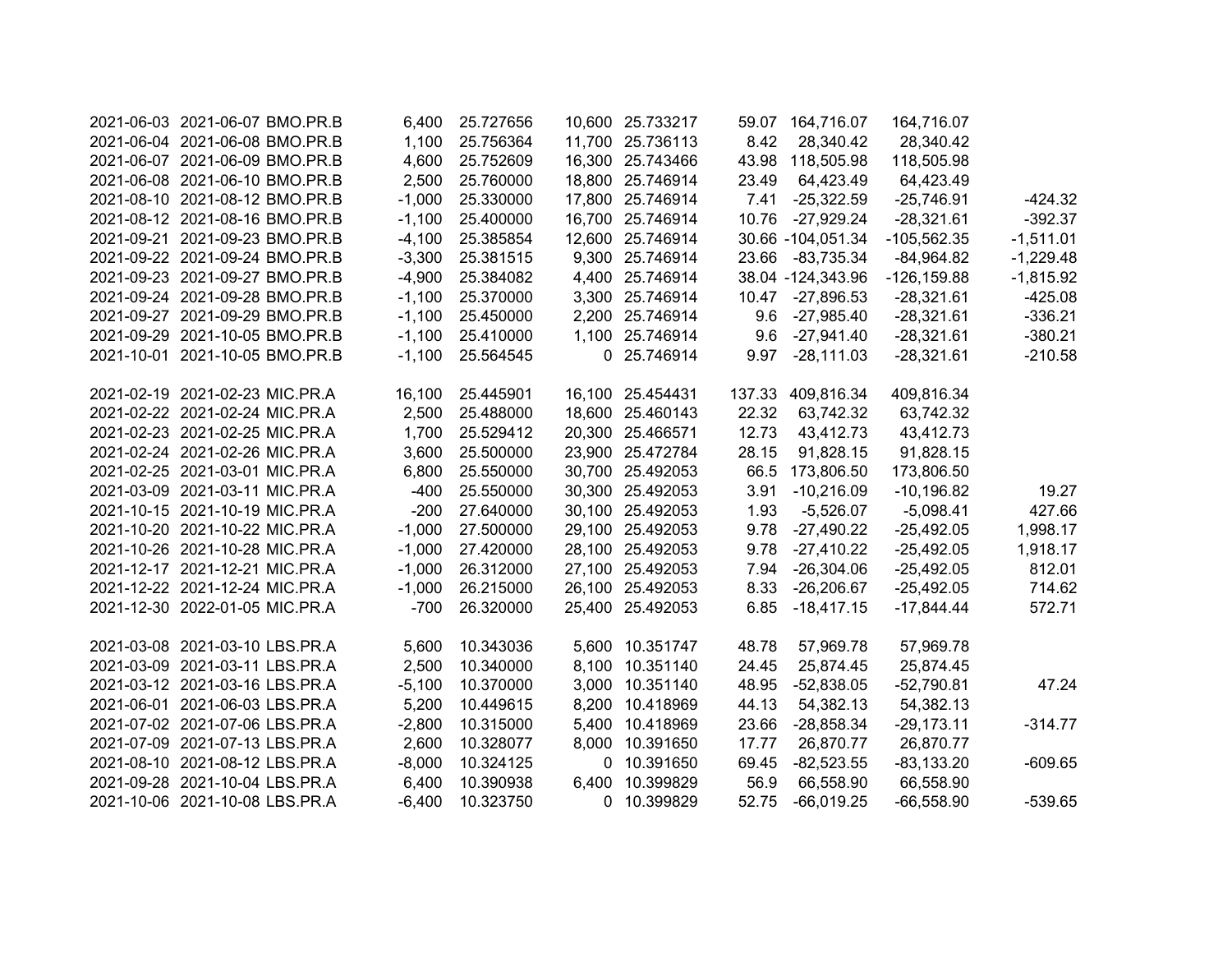| 2021-06-03 2021-06-07 BMO.PR.B | 6,400    | 25.727656 | 10,600 25.733217 |        | 59.07 164,716.07  | 164,716.07     |             |
|--------------------------------|----------|-----------|------------------|--------|-------------------|----------------|-------------|
| 2021-06-04 2021-06-08 BMO.PR.B | 1,100    | 25.756364 | 11,700 25.736113 | 8.42   | 28,340.42         | 28,340.42      |             |
| 2021-06-07 2021-06-09 BMO.PR.B | 4,600    | 25.752609 | 16,300 25.743466 |        | 43.98 118,505.98  | 118,505.98     |             |
| 2021-06-08 2021-06-10 BMO.PR.B | 2,500    | 25.760000 | 18,800 25.746914 | 23.49  | 64,423.49         | 64,423.49      |             |
| 2021-08-10 2021-08-12 BMO.PR.B | $-1,000$ | 25.330000 | 17,800 25.746914 | 7.41   | $-25,322.59$      | $-25,746.91$   | $-424.32$   |
| 2021-08-12 2021-08-16 BMO.PR.B | $-1,100$ | 25.400000 | 16,700 25.746914 | 10.76  | $-27,929.24$      | $-28,321.61$   | $-392.37$   |
| 2021-09-21 2021-09-23 BMO.PR.B | $-4,100$ | 25.385854 | 12,600 25.746914 |        | 30.66 -104,051.34 | $-105,562.35$  | $-1,511.01$ |
| 2021-09-22 2021-09-24 BMO.PR.B | $-3,300$ | 25.381515 | 9,300 25.746914  | 23.66  | $-83,735.34$      | $-84,964.82$   | $-1,229.48$ |
| 2021-09-23 2021-09-27 BMO.PR.B | $-4,900$ | 25.384082 | 4,400 25.746914  |        | 38.04 -124,343.96 | $-126, 159.88$ | $-1,815.92$ |
| 2021-09-24 2021-09-28 BMO.PR.B | $-1,100$ | 25.370000 | 3,300 25.746914  |        | 10.47 -27,896.53  | $-28,321.61$   | $-425.08$   |
| 2021-09-27 2021-09-29 BMO.PR.B | $-1,100$ | 25.450000 | 2,200 25.746914  |        | 9.6 -27,985.40    | $-28,321.61$   | $-336.21$   |
| 2021-09-29 2021-10-05 BMO.PR.B | $-1,100$ | 25.410000 | 1,100 25.746914  |        | 9.6 -27,941.40    | $-28,321.61$   | $-380.21$   |
| 2021-10-01 2021-10-05 BMO.PR.B | $-1,100$ | 25.564545 | 0 25.746914      | 9.97   | $-28,111.03$      | $-28,321.61$   | $-210.58$   |
|                                |          |           |                  |        |                   |                |             |
| 2021-02-19 2021-02-23 MIC.PR.A | 16,100   | 25.445901 | 16,100 25.454431 | 137.33 | 409,816.34        | 409,816.34     |             |
| 2021-02-22 2021-02-24 MIC.PR.A | 2,500    | 25.488000 | 18,600 25.460143 | 22.32  | 63,742.32         | 63,742.32      |             |
| 2021-02-23 2021-02-25 MIC.PR.A | 1,700    | 25.529412 | 20,300 25.466571 | 12.73  | 43,412.73         | 43,412.73      |             |
| 2021-02-24 2021-02-26 MIC.PR.A | 3,600    | 25.500000 | 23,900 25.472784 | 28.15  | 91,828.15         | 91,828.15      |             |
| 2021-02-25 2021-03-01 MIC.PR.A | 6,800    | 25.550000 | 30,700 25.492053 | 66.5   | 173,806.50        | 173,806.50     |             |
| 2021-03-09 2021-03-11 MIC.PR.A | $-400$   | 25.550000 | 30,300 25.492053 | 3.91   | $-10,216.09$      | $-10,196.82$   | 19.27       |
| 2021-10-15 2021-10-19 MIC.PR.A | $-200$   | 27.640000 | 30,100 25.492053 | 1.93   | $-5,526.07$       | $-5,098.41$    | 427.66      |
| 2021-10-20 2021-10-22 MIC.PR.A | $-1,000$ | 27.500000 | 29,100 25.492053 | 9.78   | $-27,490.22$      | $-25,492.05$   | 1,998.17    |
| 2021-10-26 2021-10-28 MIC.PR.A | $-1,000$ | 27.420000 | 28,100 25.492053 | 9.78   | $-27,410.22$      | $-25,492.05$   | 1,918.17    |
| 2021-12-17 2021-12-21 MIC.PR.A | $-1,000$ | 26.312000 | 27,100 25.492053 | 7.94   | $-26,304.06$      | $-25,492.05$   | 812.01      |
| 2021-12-22 2021-12-24 MIC.PR.A | $-1,000$ | 26.215000 | 26,100 25.492053 | 8.33   | $-26,206.67$      | $-25,492.05$   | 714.62      |
| 2021-12-30 2022-01-05 MIC.PR.A | $-700$   | 26.320000 | 25,400 25.492053 | 6.85   | $-18,417.15$      | $-17,844.44$   | 572.71      |
|                                |          |           |                  |        |                   |                |             |
| 2021-03-08 2021-03-10 LBS.PR.A | 5,600    | 10.343036 | 5,600 10.351747  | 48.78  | 57,969.78         | 57,969.78      |             |
| 2021-03-09 2021-03-11 LBS.PR.A | 2,500    | 10.340000 | 8,100 10.351140  | 24.45  | 25,874.45         | 25,874.45      |             |
| 2021-03-12 2021-03-16 LBS.PR.A | $-5,100$ | 10.370000 | 3,000 10.351140  | 48.95  | $-52,838.05$      | $-52,790.81$   | 47.24       |
| 2021-06-01 2021-06-03 LBS.PR.A | 5,200    | 10.449615 | 8,200 10.418969  | 44.13  | 54,382.13         | 54,382.13      |             |
| 2021-07-02 2021-07-06 LBS.PR.A | $-2,800$ | 10.315000 | 5,400 10.418969  | 23.66  | $-28,858.34$      | $-29,173.11$   | $-314.77$   |
| 2021-07-09 2021-07-13 LBS.PR.A | 2,600    | 10.328077 | 8,000 10.391650  | 17.77  | 26,870.77         | 26,870.77      |             |
| 2021-08-10 2021-08-12 LBS.PR.A | $-8,000$ | 10.324125 | 0 10.391650      | 69.45  | $-82,523.55$      | $-83,133.20$   | $-609.65$   |
| 2021-09-28 2021-10-04 LBS.PR.A | 6,400    | 10.390938 | 6,400 10.399829  | 56.9   | 66,558.90         | 66,558.90      |             |
| 2021-10-06 2021-10-08 LBS.PR.A | $-6,400$ | 10.323750 | 0 10.399829      | 52.75  | $-66,019.25$      | $-66,558.90$   | $-539.65$   |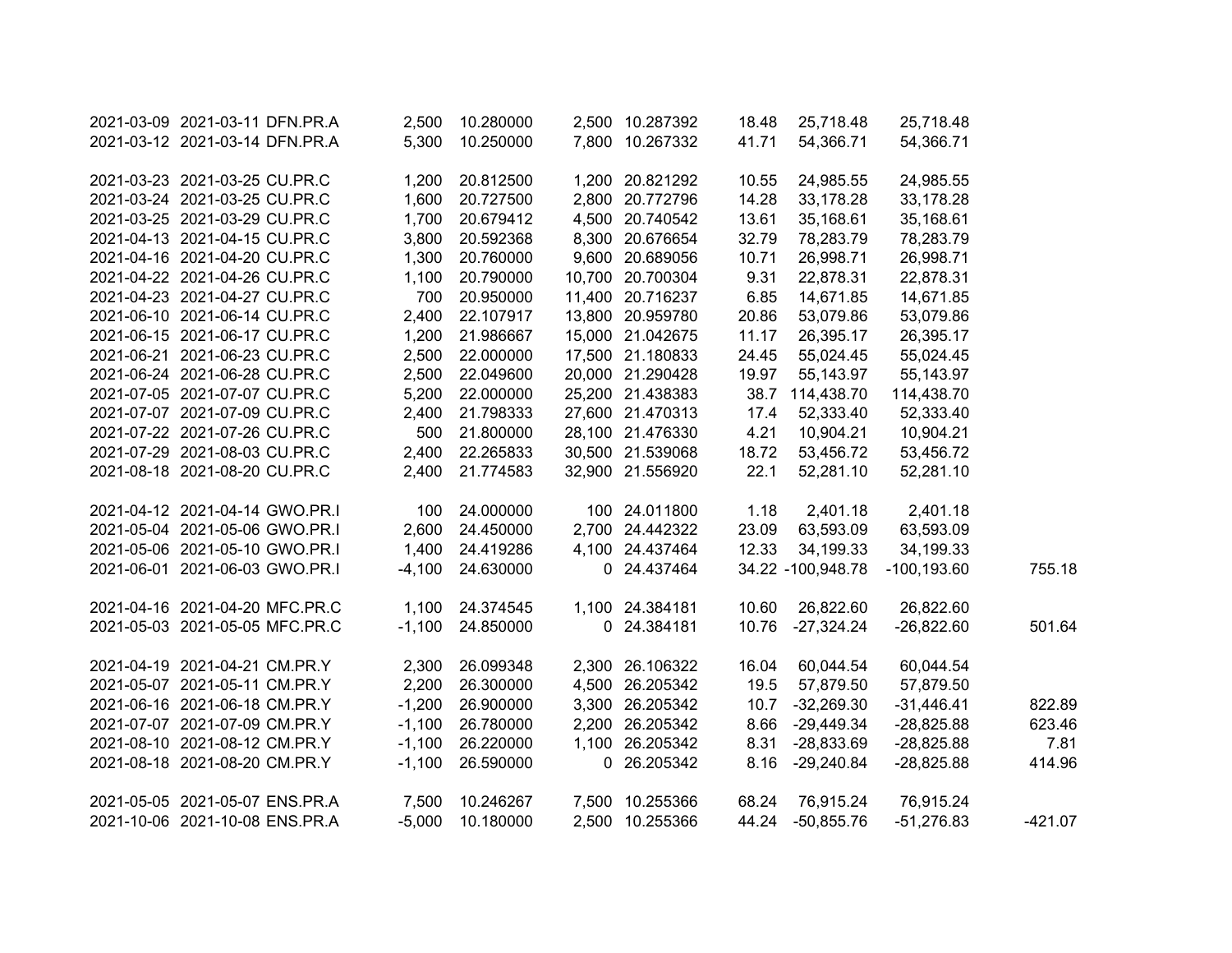| 2021-03-09 2021-03-11 DFN.PR.A | 2,500    | 10.280000       | 2,500 10.287392  | 18.48 | 25,718.48         | 25,718.48      |           |
|--------------------------------|----------|-----------------|------------------|-------|-------------------|----------------|-----------|
| 2021-03-12 2021-03-14 DFN.PR.A | 5,300    | 10.250000       | 7,800 10.267332  | 41.71 | 54,366.71         | 54,366.71      |           |
| 2021-03-23 2021-03-25 CU.PR.C  | 1,200    | 20.812500       | 1,200 20.821292  | 10.55 | 24,985.55         | 24,985.55      |           |
| 2021-03-24 2021-03-25 CU.PR.C  | 1,600    | 20.727500       | 2,800 20.772796  | 14.28 | 33,178.28         | 33,178.28      |           |
| 2021-03-25 2021-03-29 CU.PR.C  | 1,700    | 20.679412       | 4,500 20.740542  | 13.61 | 35,168.61         | 35,168.61      |           |
| 2021-04-13 2021-04-15 CU.PR.C  | 3,800    | 20.592368       | 8,300 20.676654  | 32.79 | 78,283.79         | 78,283.79      |           |
| 2021-04-16 2021-04-20 CU.PR.C  | 1,300    | 20.760000       | 9,600 20.689056  | 10.71 | 26,998.71         | 26,998.71      |           |
| 2021-04-22 2021-04-26 CU.PR.C  | 1,100    | 20.790000       | 10,700 20.700304 | 9.31  | 22,878.31         | 22,878.31      |           |
| 2021-04-23 2021-04-27 CU.PR.C  | 700      | 20.950000       | 11,400 20.716237 | 6.85  | 14,671.85         | 14,671.85      |           |
| 2021-06-10 2021-06-14 CU.PR.C  | 2,400    | 22.107917       | 13,800 20.959780 | 20.86 | 53,079.86         | 53,079.86      |           |
| 2021-06-15 2021-06-17 CU.PR.C  | 1,200    | 21.986667       | 15,000 21.042675 | 11.17 | 26,395.17         | 26,395.17      |           |
| 2021-06-21 2021-06-23 CU.PR.C  | 2,500    | 22.000000       | 17,500 21.180833 | 24.45 | 55,024.45         | 55,024.45      |           |
| 2021-06-24 2021-06-28 CU.PR.C  | 2,500    | 22.049600       | 20,000 21.290428 | 19.97 | 55,143.97         | 55,143.97      |           |
| 2021-07-05 2021-07-07 CU.PR.C  | 5,200    | 22.000000       | 25,200 21.438383 | 38.7  | 114,438.70        | 114,438.70     |           |
| 2021-07-07 2021-07-09 CU.PR.C  | 2,400    | 21.798333       | 27,600 21.470313 | 17.4  | 52,333.40         | 52,333.40      |           |
| 2021-07-22 2021-07-26 CU.PR.C  | 500      | 21.800000       | 28,100 21.476330 | 4.21  | 10,904.21         | 10,904.21      |           |
| 2021-07-29 2021-08-03 CU.PR.C  | 2,400    | 22.265833       | 30,500 21.539068 | 18.72 | 53,456.72         | 53,456.72      |           |
| 2021-08-18 2021-08-20 CU.PR.C  | 2,400    | 21.774583       | 32,900 21.556920 | 22.1  | 52,281.10         | 52,281.10      |           |
| 2021-04-12 2021-04-14 GWO.PR.I | 100      | 24.000000       | 100 24.011800    | 1.18  | 2,401.18          | 2,401.18       |           |
| 2021-05-04 2021-05-06 GWO.PR.I | 2,600    | 24.450000       | 2,700 24.442322  | 23.09 | 63,593.09         | 63,593.09      |           |
| 2021-05-06 2021-05-10 GWO.PR.I | 1,400    | 24.419286       | 4,100 24.437464  | 12.33 | 34,199.33         | 34,199.33      |           |
| 2021-06-01 2021-06-03 GWO.PR.I | $-4,100$ | 24.630000       | 0 24.437464      |       | 34.22 -100,948.78 | $-100, 193.60$ | 755.18    |
| 2021-04-16 2021-04-20 MFC.PR.C |          | 1,100 24.374545 | 1,100 24.384181  | 10.60 | 26,822.60         | 26,822.60      |           |
| 2021-05-03 2021-05-05 MFC.PR.C | $-1,100$ | 24.850000       | 0 24.384181      |       | 10.76 -27,324.24  | $-26,822.60$   | 501.64    |
| 2021-04-19 2021-04-21 CM.PR.Y  | 2,300    | 26.099348       | 2,300 26.106322  | 16.04 | 60,044.54         | 60,044.54      |           |
| 2021-05-07 2021-05-11 CM.PR.Y  | 2,200    | 26.300000       | 4,500 26.205342  | 19.5  | 57,879.50         | 57,879.50      |           |
| 2021-06-16 2021-06-18 CM.PR.Y  | $-1,200$ | 26.900000       | 3,300 26.205342  | 10.7  | $-32,269.30$      | $-31,446.41$   | 822.89    |
| 2021-07-07 2021-07-09 CM.PR.Y  | $-1,100$ | 26.780000       | 2,200 26.205342  | 8.66  | $-29,449.34$      | $-28,825.88$   | 623.46    |
| 2021-08-10 2021-08-12 CM.PR.Y  | $-1,100$ | 26.220000       | 1,100 26.205342  | 8.31  | $-28,833.69$      | $-28,825.88$   | 7.81      |
| 2021-08-18 2021-08-20 CM.PR.Y  | $-1,100$ | 26.590000       | 0 26.205342      | 8.16  | -29,240.84        | $-28,825.88$   | 414.96    |
| 2021-05-05 2021-05-07 ENS.PR.A | 7,500    | 10.246267       | 7,500 10.255366  | 68.24 | 76,915.24         | 76,915.24      |           |
| 2021-10-06 2021-10-08 ENS.PR.A | $-5,000$ | 10.180000       | 2,500 10.255366  |       | 44.24 -50,855.76  | $-51,276.83$   | $-421.07$ |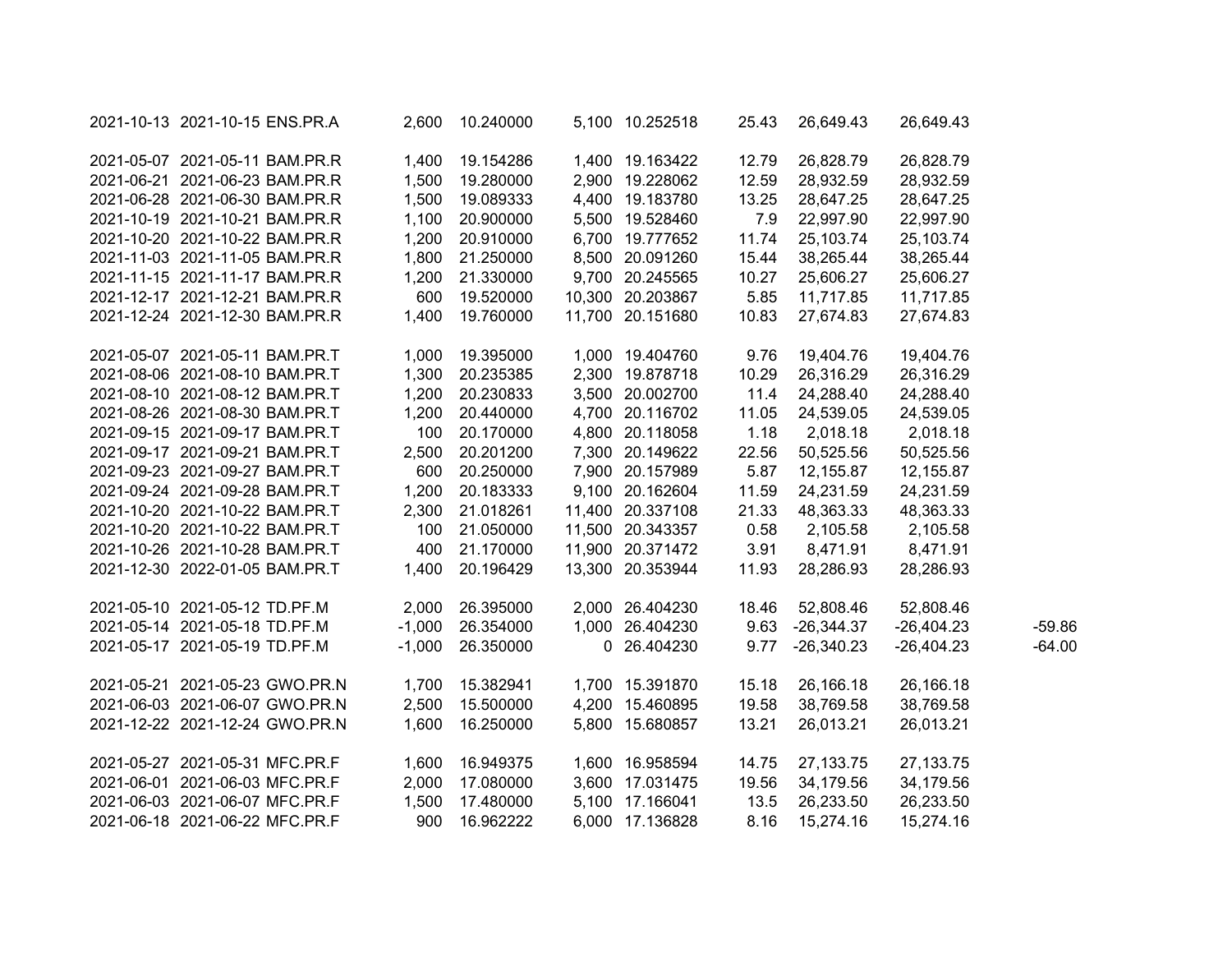| 2021-10-13 2021-10-15 ENS.PR.A | 2,600    | 10.240000 | 5,100 10.252518  | 25.43 | 26,649.43    | 26,649.43    |          |
|--------------------------------|----------|-----------|------------------|-------|--------------|--------------|----------|
| 2021-05-07 2021-05-11 BAM.PR.R | 1,400    | 19.154286 | 1,400 19.163422  | 12.79 | 26,828.79    | 26,828.79    |          |
| 2021-06-21 2021-06-23 BAM.PR.R | 1,500    | 19.280000 | 2,900 19.228062  | 12.59 | 28,932.59    | 28,932.59    |          |
| 2021-06-28 2021-06-30 BAM.PR.R | 1,500    | 19.089333 | 4,400 19.183780  | 13.25 | 28,647.25    | 28,647.25    |          |
| 2021-10-19 2021-10-21 BAM.PR.R | 1,100    | 20.900000 | 5,500 19.528460  | 7.9   | 22,997.90    | 22,997.90    |          |
| 2021-10-20 2021-10-22 BAM.PR.R | 1,200    | 20.910000 | 6,700 19.777652  | 11.74 | 25,103.74    | 25,103.74    |          |
| 2021-11-03 2021-11-05 BAM.PR.R | 1,800    | 21.250000 | 8,500 20.091260  | 15.44 | 38,265.44    | 38,265.44    |          |
| 2021-11-15 2021-11-17 BAM.PR.R | 1,200    | 21.330000 | 9,700 20.245565  | 10.27 | 25,606.27    | 25,606.27    |          |
| 2021-12-17 2021-12-21 BAM.PR.R | 600      | 19.520000 | 10,300 20.203867 | 5.85  | 11,717.85    | 11,717.85    |          |
| 2021-12-24 2021-12-30 BAM.PR.R | 1,400    | 19.760000 | 11,700 20.151680 | 10.83 | 27,674.83    | 27,674.83    |          |
| 2021-05-07 2021-05-11 BAM.PR.T | 1,000    | 19.395000 | 1,000 19.404760  | 9.76  | 19,404.76    | 19,404.76    |          |
| 2021-08-06 2021-08-10 BAM.PR.T | 1,300    | 20.235385 | 2,300 19.878718  | 10.29 | 26,316.29    | 26,316.29    |          |
| 2021-08-10 2021-08-12 BAM.PR.T | 1,200    | 20.230833 | 3,500 20.002700  | 11.4  | 24,288.40    | 24,288.40    |          |
| 2021-08-26 2021-08-30 BAM.PR.T | 1,200    | 20.440000 | 4,700 20.116702  | 11.05 | 24,539.05    | 24,539.05    |          |
| 2021-09-15 2021-09-17 BAM.PR.T | 100      | 20.170000 | 4,800 20.118058  | 1.18  | 2,018.18     | 2,018.18     |          |
| 2021-09-17 2021-09-21 BAM.PR.T | 2,500    | 20.201200 | 7,300 20.149622  | 22.56 | 50,525.56    | 50,525.56    |          |
| 2021-09-23 2021-09-27 BAM.PR.T | 600      | 20.250000 | 7,900 20.157989  | 5.87  | 12,155.87    | 12,155.87    |          |
| 2021-09-24 2021-09-28 BAM.PR.T | 1,200    | 20.183333 | 9,100 20.162604  | 11.59 | 24,231.59    | 24,231.59    |          |
| 2021-10-20 2021-10-22 BAM.PR.T | 2,300    | 21.018261 | 11,400 20.337108 | 21.33 | 48,363.33    | 48,363.33    |          |
| 2021-10-20 2021-10-22 BAM.PR.T | 100      | 21.050000 | 11,500 20.343357 | 0.58  | 2,105.58     | 2,105.58     |          |
| 2021-10-26 2021-10-28 BAM.PR.T | 400      | 21.170000 | 11,900 20.371472 | 3.91  | 8,471.91     | 8,471.91     |          |
| 2021-12-30 2022-01-05 BAM.PR.T | 1,400    | 20.196429 | 13,300 20.353944 | 11.93 | 28,286.93    | 28,286.93    |          |
| 2021-05-10 2021-05-12 TD.PF.M  | 2,000    | 26.395000 | 2,000 26.404230  | 18.46 | 52,808.46    | 52,808.46    |          |
| 2021-05-14 2021-05-18 TD.PF.M  | $-1,000$ | 26.354000 | 1,000 26.404230  | 9.63  | $-26,344.37$ | $-26,404.23$ | $-59.86$ |
| 2021-05-17 2021-05-19 TD.PF.M  | $-1,000$ | 26.350000 | 0 26.404230      | 9.77  | $-26,340.23$ | $-26,404.23$ | $-64.00$ |
| 2021-05-21 2021-05-23 GWO.PR.N | 1,700    | 15.382941 | 1,700 15.391870  | 15.18 | 26,166.18    | 26,166.18    |          |
| 2021-06-03 2021-06-07 GWO.PR.N | 2,500    | 15.500000 | 4,200 15.460895  | 19.58 | 38,769.58    | 38,769.58    |          |
| 2021-12-22 2021-12-24 GWO.PR.N | 1,600    | 16.250000 | 5,800 15.680857  | 13.21 | 26,013.21    | 26,013.21    |          |
| 2021-05-27 2021-05-31 MFC.PR.F | 1,600    | 16.949375 | 1,600 16.958594  | 14.75 | 27,133.75    | 27, 133. 75  |          |
| 2021-06-01 2021-06-03 MFC.PR.F | 2,000    | 17.080000 | 3,600 17.031475  | 19.56 | 34,179.56    | 34,179.56    |          |
| 2021-06-03 2021-06-07 MFC.PR.F | 1,500    | 17.480000 | 5,100 17.166041  | 13.5  | 26,233.50    | 26,233.50    |          |
| 2021-06-18 2021-06-22 MFC.PR.F | 900      | 16.962222 | 6,000 17.136828  | 8.16  | 15,274.16    | 15,274.16    |          |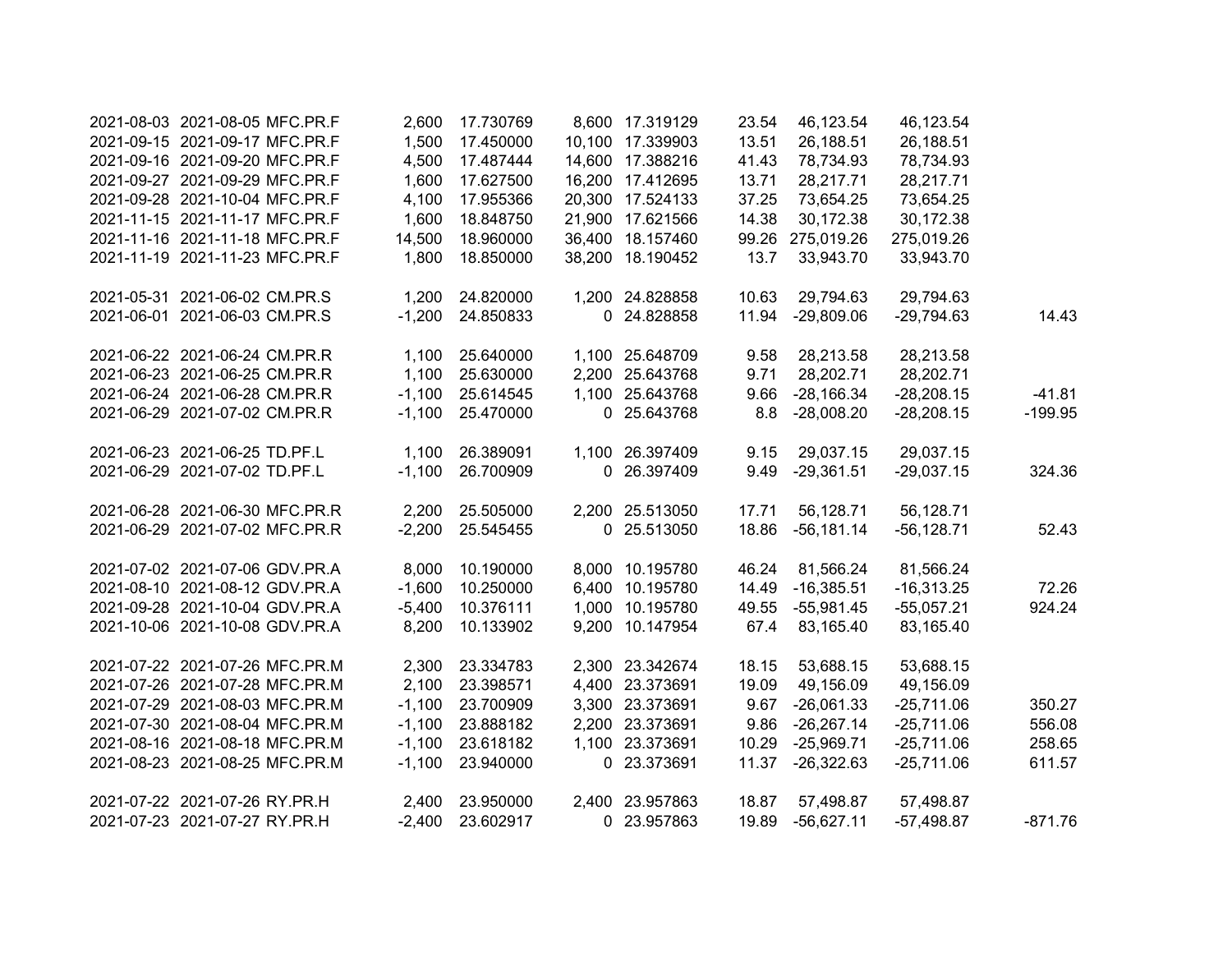| 2021-08-03 2021-08-05 MFC.PR.F | 2,600    | 17.730769 | 8,600 17.319129  | 23.54 | 46,123.54    | 46,123.54     |           |
|--------------------------------|----------|-----------|------------------|-------|--------------|---------------|-----------|
| 2021-09-15 2021-09-17 MFC.PR.F | 1,500    | 17.450000 | 10,100 17.339903 | 13.51 | 26,188.51    | 26,188.51     |           |
| 2021-09-16 2021-09-20 MFC.PR.F | 4,500    | 17.487444 | 14,600 17.388216 | 41.43 | 78,734.93    | 78,734.93     |           |
| 2021-09-27 2021-09-29 MFC.PR.F | 1,600    | 17.627500 | 16,200 17.412695 | 13.71 | 28,217.71    | 28,217.71     |           |
| 2021-09-28 2021-10-04 MFC.PR.F | 4,100    | 17.955366 | 20,300 17.524133 | 37.25 | 73,654.25    | 73,654.25     |           |
| 2021-11-15 2021-11-17 MFC.PR.F | 1,600    | 18.848750 | 21,900 17.621566 | 14.38 | 30,172.38    | 30,172.38     |           |
| 2021-11-16 2021-11-18 MFC.PR.F | 14,500   | 18.960000 | 36,400 18.157460 | 99.26 | 275,019.26   | 275,019.26    |           |
| 2021-11-19 2021-11-23 MFC.PR.F | 1,800    | 18.850000 | 38,200 18.190452 | 13.7  | 33,943.70    | 33,943.70     |           |
| 2021-05-31 2021-06-02 CM.PR.S  | 1,200    | 24.820000 | 1,200 24.828858  | 10.63 | 29,794.63    | 29,794.63     |           |
| 2021-06-01 2021-06-03 CM.PR.S  | $-1,200$ | 24.850833 | 0 24.828858      | 11.94 | $-29,809.06$ | $-29,794.63$  | 14.43     |
| 2021-06-22 2021-06-24 CM.PR.R  | 1,100    | 25.640000 | 1,100 25.648709  | 9.58  | 28,213.58    | 28,213.58     |           |
| 2021-06-23 2021-06-25 CM.PR.R  | 1,100    | 25.630000 | 2,200 25.643768  | 9.71  | 28,202.71    | 28,202.71     |           |
| 2021-06-24 2021-06-28 CM.PR.R  | $-1,100$ | 25.614545 | 1,100 25.643768  | 9.66  | $-28,166.34$ | $-28,208.15$  | $-41.81$  |
| 2021-06-29 2021-07-02 CM.PR.R  | $-1,100$ | 25.470000 | 0 25.643768      | 8.8   | $-28,008.20$ | $-28,208.15$  | $-199.95$ |
| 2021-06-23 2021-06-25 TD.PF.L  | 1,100    | 26.389091 | 1,100 26.397409  | 9.15  | 29,037.15    | 29,037.15     |           |
| 2021-06-29 2021-07-02 TD.PF.L  | $-1,100$ | 26.700909 | 0 26.397409      | 9.49  | $-29,361.51$ | $-29,037.15$  | 324.36    |
| 2021-06-28 2021-06-30 MFC.PR.R | 2,200    | 25.505000 | 2,200 25.513050  | 17.71 | 56,128.71    | 56,128.71     |           |
| 2021-06-29 2021-07-02 MFC.PR.R | $-2,200$ | 25.545455 | 0 25.513050      | 18.86 | $-56,181.14$ | $-56, 128.71$ | 52.43     |
| 2021-07-02 2021-07-06 GDV.PR.A | 8,000    | 10.190000 | 8,000 10.195780  | 46.24 | 81,566.24    | 81,566.24     |           |
| 2021-08-10 2021-08-12 GDV.PR.A | $-1,600$ | 10.250000 | 6,400 10.195780  | 14.49 | $-16,385.51$ | $-16,313.25$  | 72.26     |
| 2021-09-28 2021-10-04 GDV.PR.A | $-5,400$ | 10.376111 | 1,000 10.195780  | 49.55 | $-55,981.45$ | $-55,057.21$  | 924.24    |
| 2021-10-06 2021-10-08 GDV.PR.A | 8,200    | 10.133902 | 9,200 10.147954  | 67.4  | 83,165.40    | 83,165.40     |           |
| 2021-07-22 2021-07-26 MFC.PR.M | 2,300    | 23.334783 | 2,300 23.342674  | 18.15 | 53,688.15    | 53,688.15     |           |
| 2021-07-26 2021-07-28 MFC.PR.M | 2,100    | 23.398571 | 4,400 23.373691  | 19.09 | 49,156.09    | 49,156.09     |           |
| 2021-07-29 2021-08-03 MFC.PR.M | $-1,100$ | 23.700909 | 3,300 23.373691  | 9.67  | $-26,061.33$ | $-25,711.06$  | 350.27    |
| 2021-07-30 2021-08-04 MFC.PR.M | $-1,100$ | 23.888182 | 2,200 23.373691  | 9.86  | $-26,267.14$ | $-25,711.06$  | 556.08    |
| 2021-08-16 2021-08-18 MFC.PR.M | $-1,100$ | 23.618182 | 1,100 23.373691  | 10.29 | $-25,969.71$ | $-25,711.06$  | 258.65    |
| 2021-08-23 2021-08-25 MFC.PR.M | $-1,100$ | 23.940000 | 0 23.373691      | 11.37 | $-26,322.63$ | $-25,711.06$  | 611.57    |
| 2021-07-22 2021-07-26 RY.PR.H  | 2,400    | 23.950000 | 2,400 23.957863  | 18.87 | 57,498.87    | 57,498.87     |           |
| 2021-07-23 2021-07-27 RY.PR.H  | $-2,400$ | 23.602917 | 0 23.957863      | 19.89 | $-56,627.11$ | $-57,498.87$  | $-871.76$ |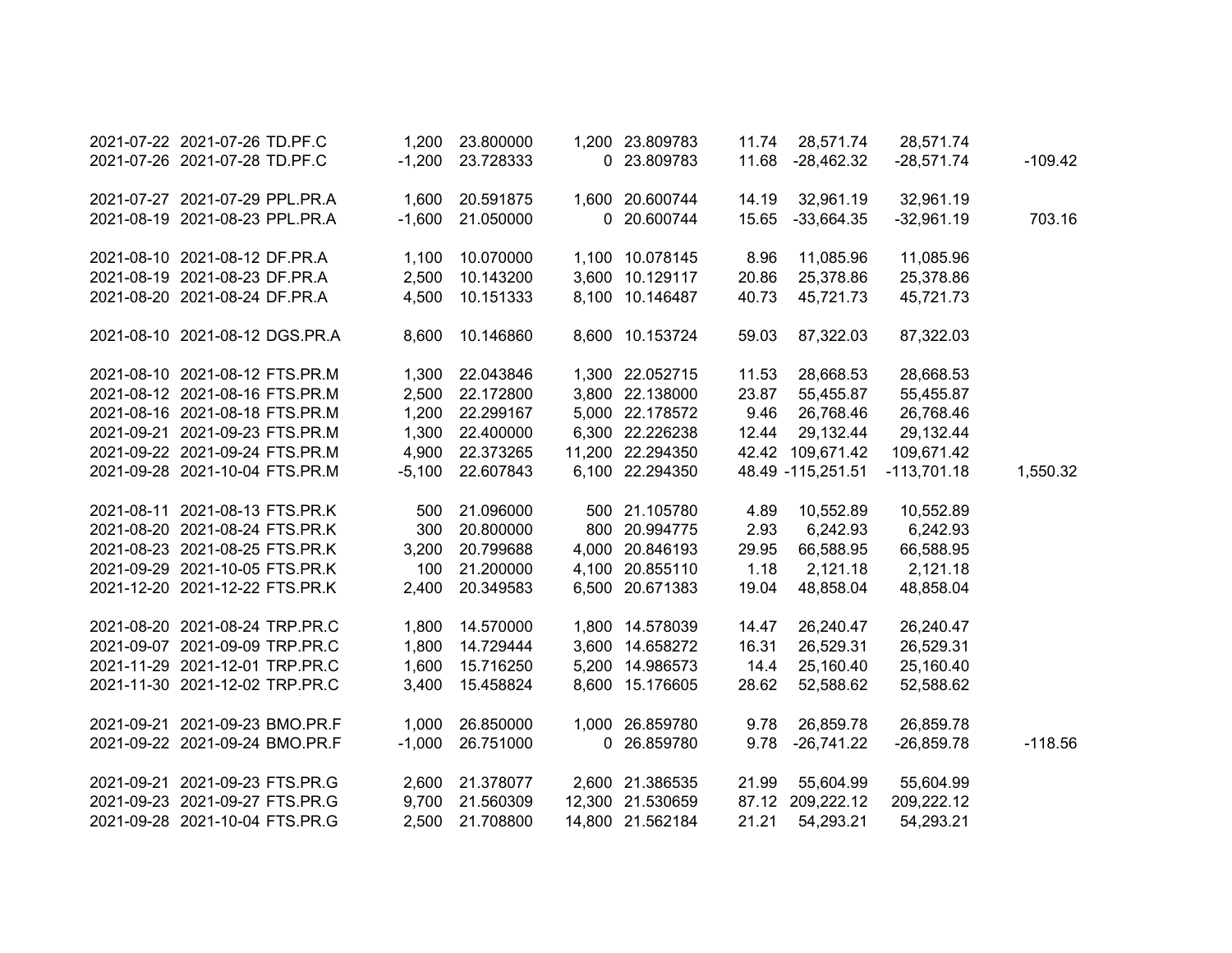|           | 28,571.74     | 28,571.74         | 11.74 | 1,200 23.809783  | 23.800000 | 1,200    | 2021-07-22 2021-07-26 TD.PF.C  |  |
|-----------|---------------|-------------------|-------|------------------|-----------|----------|--------------------------------|--|
| $-109.42$ | $-28,571.74$  | $-28,462.32$      | 11.68 | 0 23.809783      | 23.728333 | $-1,200$ | 2021-07-26 2021-07-28 TD.PF.C  |  |
|           |               |                   |       |                  |           |          |                                |  |
|           | 32,961.19     | 32,961.19         | 14.19 | 1,600 20.600744  | 20.591875 | 1,600    | 2021-07-27 2021-07-29 PPL.PR.A |  |
| 703.16    | $-32,961.19$  | $-33,664.35$      | 15.65 | 0 20.600744      | 21.050000 | $-1,600$ | 2021-08-19 2021-08-23 PPL.PR.A |  |
|           | 11,085.96     | 11,085.96         | 8.96  | 1,100 10.078145  | 10.070000 | 1,100    | 2021-08-10 2021-08-12 DF.PR.A  |  |
|           | 25,378.86     | 25,378.86         | 20.86 | 3,600 10.129117  | 10.143200 | 2,500    | 2021-08-19 2021-08-23 DF.PR.A  |  |
|           | 45,721.73     | 45,721.73         | 40.73 | 8,100 10.146487  | 10.151333 | 4,500    | 2021-08-20 2021-08-24 DF.PR.A  |  |
|           | 87,322.03     | 87,322.03         | 59.03 | 8,600 10.153724  | 10.146860 | 8,600    | 2021-08-10 2021-08-12 DGS.PR.A |  |
|           |               |                   |       |                  |           |          |                                |  |
|           | 28,668.53     | 28,668.53         | 11.53 | 1,300 22.052715  | 22.043846 | 1,300    | 2021-08-10 2021-08-12 FTS.PR.M |  |
|           | 55,455.87     | 55,455.87         | 23.87 | 3,800 22.138000  | 22.172800 | 2,500    | 2021-08-12 2021-08-16 FTS.PR.M |  |
|           | 26,768.46     | 26,768.46         | 9.46  | 5,000 22.178572  | 22.299167 | 1,200    | 2021-08-16 2021-08-18 FTS.PR.M |  |
|           | 29,132.44     | 29,132.44         | 12.44 | 6,300 22.226238  | 22.400000 | 1,300    | 2021-09-21 2021-09-23 FTS.PR.M |  |
|           | 109,671.42    | 42.42 109,671.42  |       | 11,200 22.294350 | 22.373265 | 4,900    | 2021-09-22 2021-09-24 FTS.PR.M |  |
| 1,550.32  | $-113,701.18$ | 48.49 -115,251.51 |       | 6,100 22.294350  | 22.607843 | $-5,100$ | 2021-09-28 2021-10-04 FTS.PR.M |  |
|           | 10,552.89     | 10,552.89         | 4.89  | 500 21.105780    | 21.096000 | 500      | 2021-08-11 2021-08-13 FTS.PR.K |  |
|           | 6,242.93      | 6,242.93          | 2.93  | 800 20.994775    | 20.800000 | 300      | 2021-08-20 2021-08-24 FTS.PR.K |  |
|           | 66,588.95     | 66,588.95         | 29.95 | 4,000 20.846193  | 20.799688 | 3,200    | 2021-08-23 2021-08-25 FTS.PR.K |  |
|           | 2,121.18      | 2,121.18          | 1.18  | 4,100 20.855110  | 21.200000 | 100      | 2021-09-29 2021-10-05 FTS.PR.K |  |
|           | 48,858.04     | 48,858.04         | 19.04 | 6,500 20.671383  | 20.349583 | 2,400    | 2021-12-20 2021-12-22 FTS.PR.K |  |
|           | 26,240.47     | 26,240.47         | 14.47 | 1,800 14.578039  | 14.570000 | 1,800    | 2021-08-20 2021-08-24 TRP.PR.C |  |
|           | 26,529.31     | 26,529.31         | 16.31 | 3,600 14.658272  | 14.729444 | 1,800    | 2021-09-07 2021-09-09 TRP.PR.C |  |
|           | 25,160.40     | 25,160.40         | 14.4  | 5,200 14.986573  | 15.716250 | 1,600    | 2021-11-29 2021-12-01 TRP.PR.C |  |
|           | 52,588.62     | 52,588.62         | 28.62 | 8,600 15.176605  | 15.458824 | 3,400    | 2021-11-30 2021-12-02 TRP.PR.C |  |
|           |               |                   |       |                  |           |          |                                |  |
|           | 26,859.78     | 26,859.78         | 9.78  | 1,000 26.859780  | 26.850000 | 1,000    | 2021-09-21 2021-09-23 BMO.PR.F |  |
| $-118.56$ | $-26,859.78$  | $-26,741.22$      | 9.78  | 0 26.859780      | 26.751000 | $-1,000$ | 2021-09-22 2021-09-24 BMO.PR.F |  |
|           | 55,604.99     | 55,604.99         | 21.99 | 2,600 21.386535  | 21.378077 | 2,600    | 2021-09-21 2021-09-23 FTS.PR.G |  |
|           | 209,222.12    | 87.12 209,222.12  |       | 12,300 21.530659 | 21.560309 | 9,700    | 2021-09-23 2021-09-27 FTS.PR.G |  |
|           | 54,293.21     | 54,293.21         | 21.21 | 14,800 21.562184 | 21.708800 | 2,500    | 2021-09-28 2021-10-04 FTS.PR.G |  |
|           |               |                   |       |                  |           |          |                                |  |